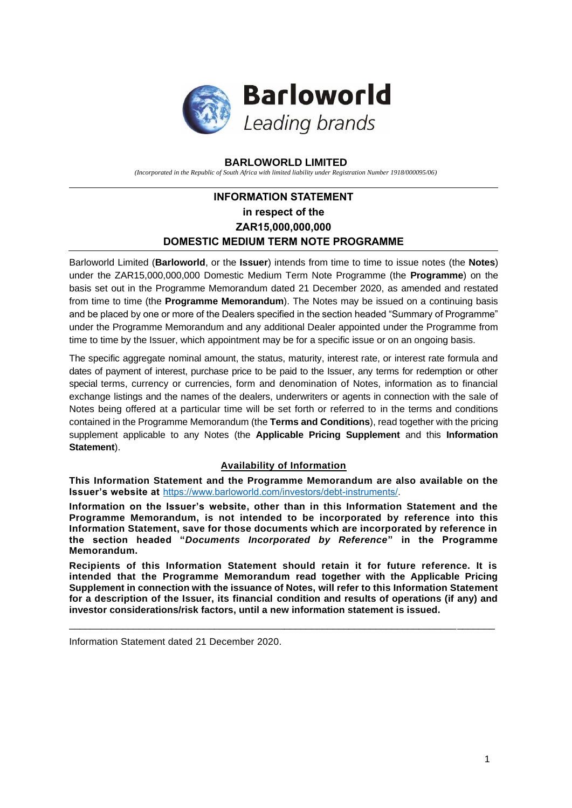

## **BARLOWORLD LIMITED**

*(Incorporated in the Republic of South Africa with limited liability under Registration Number 1918/000095/06)*

# **INFORMATION STATEMENT in respect of the ZAR15,000,000,000 DOMESTIC MEDIUM TERM NOTE PROGRAMME**

Barloworld Limited (**Barloworld**, or the **Issuer**) intends from time to time to issue notes (the **Notes**) under the ZAR15,000,000,000 Domestic Medium Term Note Programme (the **Programme**) on the basis set out in the Programme Memorandum dated 21 December 2020, as amended and restated from time to time (the **Programme Memorandum**). The Notes may be issued on a continuing basis and be placed by one or more of the Dealers specified in the section headed "Summary of Programme" under the Programme Memorandum and any additional Dealer appointed under the Programme from time to time by the Issuer, which appointment may be for a specific issue or on an ongoing basis.

The specific aggregate nominal amount, the status, maturity, interest rate, or interest rate formula and dates of payment of interest, purchase price to be paid to the Issuer, any terms for redemption or other special terms, currency or currencies, form and denomination of Notes, information as to financial exchange listings and the names of the dealers, underwriters or agents in connection with the sale of Notes being offered at a particular time will be set forth or referred to in the terms and conditions contained in the Programme Memorandum (the **Terms and Conditions**), read together with the pricing supplement applicable to any Notes (the **Applicable Pricing Supplement** and this **Information Statement**).

## **Availability of Information**

**This Information Statement and the Programme Memorandum are also available on the Issuer's website at** [https://www.barloworld.com/investors/debt-instruments/.](https://www.barloworld.com/investors/debt-instruments/)

**Information on the Issuer's website, other than in this Information Statement and the Programme Memorandum, is not intended to be incorporated by reference into this Information Statement, save for those documents which are incorporated by reference in the section headed "***Documents Incorporated by Reference***" in the Programme Memorandum.**

**Recipients of this Information Statement should retain it for future reference. It is intended that the Programme Memorandum read together with the Applicable Pricing Supplement in connection with the issuance of Notes, will refer to this Information Statement for a description of the Issuer, its financial condition and results of operations (if any) and investor considerations/risk factors, until a new information statement is issued.**

\_\_\_\_\_\_\_\_\_\_\_\_\_\_\_\_\_\_\_\_\_\_\_\_\_\_\_\_\_\_\_\_\_\_\_\_\_\_\_\_\_\_\_\_\_\_\_\_\_\_\_\_\_\_\_\_\_\_\_\_\_\_\_\_\_\_\_\_\_\_\_\_\_\_\_\_\_\_\_

Information Statement dated 21 December 2020.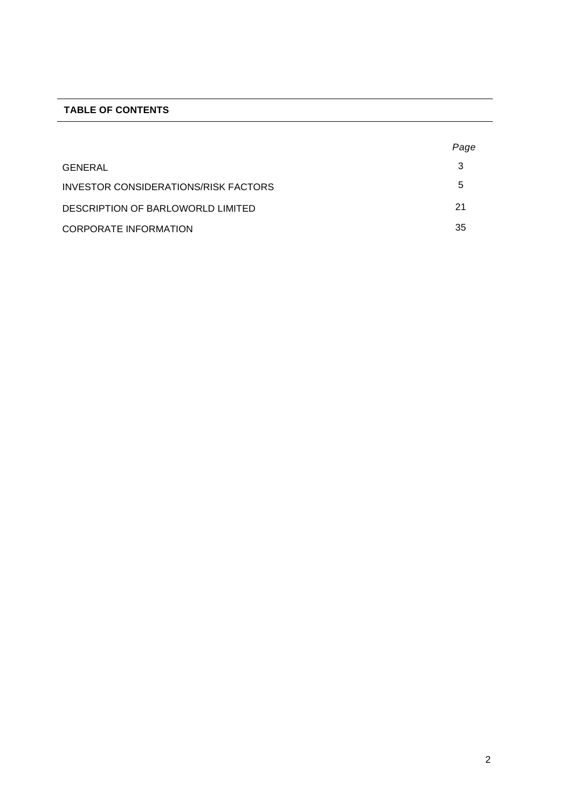## **TABLE OF CONTENTS**

|                                      | Page |
|--------------------------------------|------|
| GENERAL                              | 3    |
| INVESTOR CONSIDERATIONS/RISK FACTORS | b    |
| DESCRIPTION OF BARLOWORLD LIMITED    | 21   |
| <b>CORPORATE INFORMATION</b>         | 35   |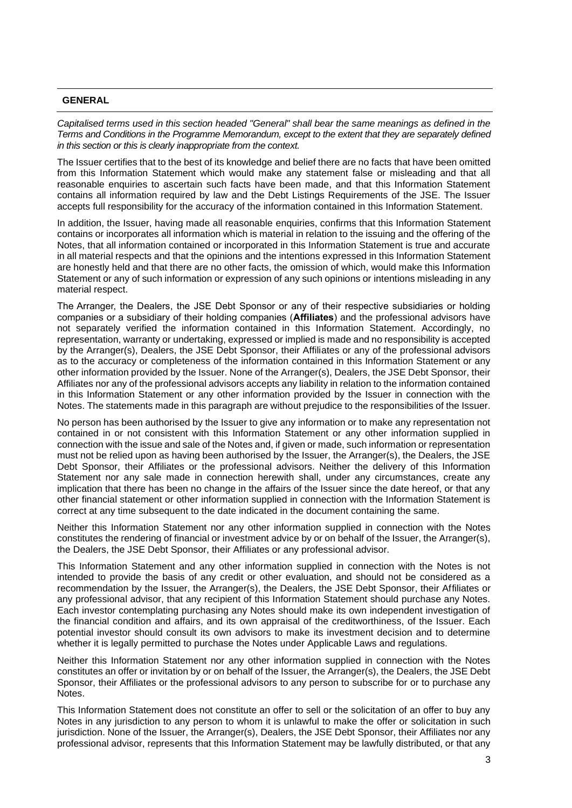## **GENERAL**

*Capitalised terms used in this section headed "General" shall bear the same meanings as defined in the Terms and Conditions in the Programme Memorandum, except to the extent that they are separately defined in this section or this is clearly inappropriate from the context.* 

The Issuer certifies that to the best of its knowledge and belief there are no facts that have been omitted from this Information Statement which would make any statement false or misleading and that all reasonable enquiries to ascertain such facts have been made, and that this Information Statement contains all information required by law and the Debt Listings Requirements of the JSE. The Issuer accepts full responsibility for the accuracy of the information contained in this Information Statement.

In addition, the Issuer, having made all reasonable enquiries, confirms that this Information Statement contains or incorporates all information which is material in relation to the issuing and the offering of the Notes, that all information contained or incorporated in this Information Statement is true and accurate in all material respects and that the opinions and the intentions expressed in this Information Statement are honestly held and that there are no other facts, the omission of which, would make this Information Statement or any of such information or expression of any such opinions or intentions misleading in any material respect.

The Arranger, the Dealers, the JSE Debt Sponsor or any of their respective subsidiaries or holding companies or a subsidiary of their holding companies (**Affiliates**) and the professional advisors have not separately verified the information contained in this Information Statement. Accordingly, no representation, warranty or undertaking, expressed or implied is made and no responsibility is accepted by the Arranger(s), Dealers, the JSE Debt Sponsor, their Affiliates or any of the professional advisors as to the accuracy or completeness of the information contained in this Information Statement or any other information provided by the Issuer. None of the Arranger(s), Dealers, the JSE Debt Sponsor, their Affiliates nor any of the professional advisors accepts any liability in relation to the information contained in this Information Statement or any other information provided by the Issuer in connection with the Notes. The statements made in this paragraph are without prejudice to the responsibilities of the Issuer.

No person has been authorised by the Issuer to give any information or to make any representation not contained in or not consistent with this Information Statement or any other information supplied in connection with the issue and sale of the Notes and, if given or made, such information or representation must not be relied upon as having been authorised by the Issuer, the Arranger(s), the Dealers, the JSE Debt Sponsor, their Affiliates or the professional advisors. Neither the delivery of this Information Statement nor any sale made in connection herewith shall, under any circumstances, create any implication that there has been no change in the affairs of the Issuer since the date hereof, or that any other financial statement or other information supplied in connection with the Information Statement is correct at any time subsequent to the date indicated in the document containing the same.

Neither this Information Statement nor any other information supplied in connection with the Notes constitutes the rendering of financial or investment advice by or on behalf of the Issuer, the Arranger(s), the Dealers, the JSE Debt Sponsor, their Affiliates or any professional advisor.

This Information Statement and any other information supplied in connection with the Notes is not intended to provide the basis of any credit or other evaluation, and should not be considered as a recommendation by the Issuer, the Arranger(s), the Dealers, the JSE Debt Sponsor, their Affiliates or any professional advisor, that any recipient of this Information Statement should purchase any Notes. Each investor contemplating purchasing any Notes should make its own independent investigation of the financial condition and affairs, and its own appraisal of the creditworthiness, of the Issuer. Each potential investor should consult its own advisors to make its investment decision and to determine whether it is legally permitted to purchase the Notes under Applicable Laws and regulations.

Neither this Information Statement nor any other information supplied in connection with the Notes constitutes an offer or invitation by or on behalf of the Issuer, the Arranger(s), the Dealers, the JSE Debt Sponsor, their Affiliates or the professional advisors to any person to subscribe for or to purchase any Notes.

This Information Statement does not constitute an offer to sell or the solicitation of an offer to buy any Notes in any jurisdiction to any person to whom it is unlawful to make the offer or solicitation in such jurisdiction. None of the Issuer, the Arranger(s), Dealers, the JSE Debt Sponsor, their Affiliates nor any professional advisor, represents that this Information Statement may be lawfully distributed, or that any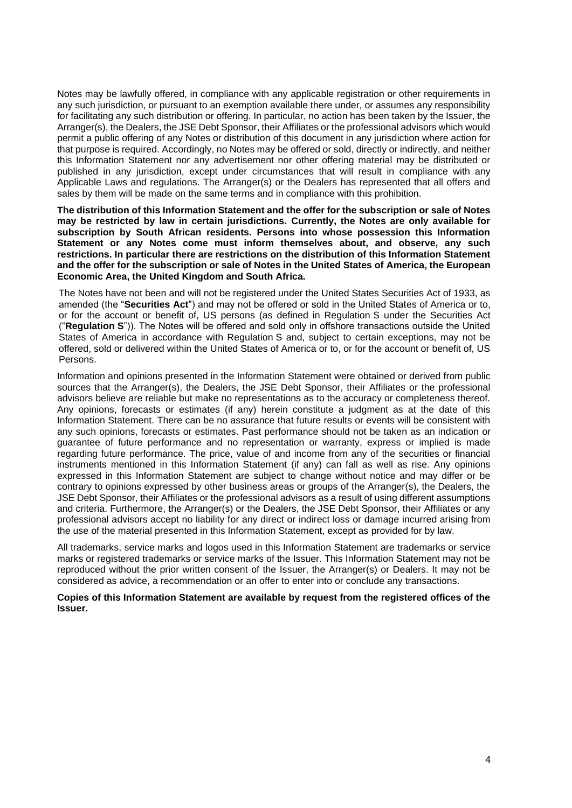Notes may be lawfully offered, in compliance with any applicable registration or other requirements in any such jurisdiction, or pursuant to an exemption available there under, or assumes any responsibility for facilitating any such distribution or offering. In particular, no action has been taken by the Issuer, the Arranger(s), the Dealers, the JSE Debt Sponsor, their Affiliates or the professional advisors which would permit a public offering of any Notes or distribution of this document in any jurisdiction where action for that purpose is required. Accordingly, no Notes may be offered or sold, directly or indirectly, and neither this Information Statement nor any advertisement nor other offering material may be distributed or published in any jurisdiction, except under circumstances that will result in compliance with any Applicable Laws and regulations. The Arranger(s) or the Dealers has represented that all offers and sales by them will be made on the same terms and in compliance with this prohibition.

**The distribution of this Information Statement and the offer for the subscription or sale of Notes may be restricted by law in certain jurisdictions. Currently, the Notes are only available for subscription by South African residents. Persons into whose possession this Information Statement or any Notes come must inform themselves about, and observe, any such restrictions. In particular there are restrictions on the distribution of this Information Statement and the offer for the subscription or sale of Notes in the United States of America, the European Economic Area, the United Kingdom and South Africa.**

The Notes have not been and will not be registered under the United States Securities Act of 1933, as amended (the "**Securities Act**") and may not be offered or sold in the United States of America or to, or for the account or benefit of, US persons (as defined in Regulation S under the Securities Act ("**Regulation S**")). The Notes will be offered and sold only in offshore transactions outside the United States of America in accordance with Regulation S and, subject to certain exceptions, may not be offered, sold or delivered within the United States of America or to, or for the account or benefit of, US Persons.

Information and opinions presented in the Information Statement were obtained or derived from public sources that the Arranger(s), the Dealers, the JSE Debt Sponsor, their Affiliates or the professional advisors believe are reliable but make no representations as to the accuracy or completeness thereof. Any opinions, forecasts or estimates (if any) herein constitute a judgment as at the date of this Information Statement. There can be no assurance that future results or events will be consistent with any such opinions, forecasts or estimates. Past performance should not be taken as an indication or guarantee of future performance and no representation or warranty, express or implied is made regarding future performance. The price, value of and income from any of the securities or financial instruments mentioned in this Information Statement (if any) can fall as well as rise. Any opinions expressed in this Information Statement are subject to change without notice and may differ or be contrary to opinions expressed by other business areas or groups of the Arranger(s), the Dealers, the JSE Debt Sponsor, their Affiliates or the professional advisors as a result of using different assumptions and criteria. Furthermore, the Arranger(s) or the Dealers, the JSE Debt Sponsor, their Affiliates or any professional advisors accept no liability for any direct or indirect loss or damage incurred arising from the use of the material presented in this Information Statement, except as provided for by law.

All trademarks, service marks and logos used in this Information Statement are trademarks or service marks or registered trademarks or service marks of the Issuer. This Information Statement may not be reproduced without the prior written consent of the Issuer, the Arranger(s) or Dealers. It may not be considered as advice, a recommendation or an offer to enter into or conclude any transactions.

**Copies of this Information Statement are available by request from the registered offices of the Issuer.**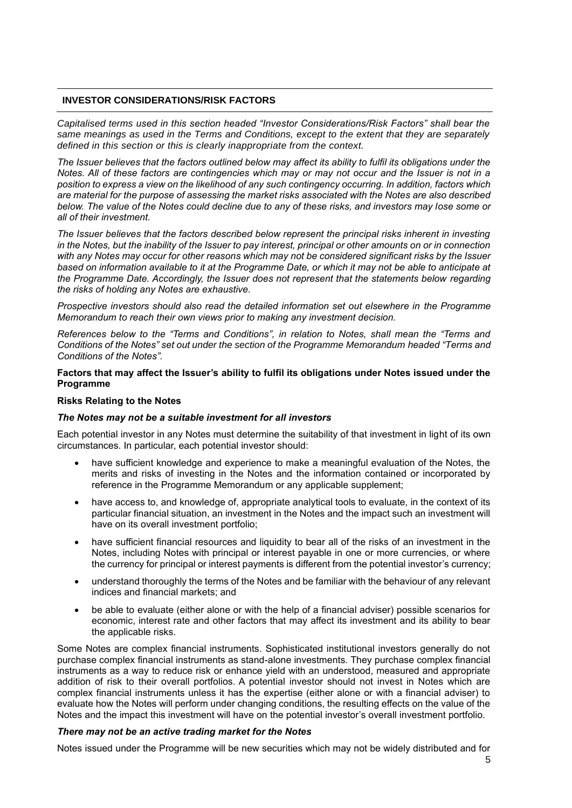## **INVESTOR CONSIDERATIONS/RISK FACTORS**

*Capitalised terms used in this section headed "Investor Considerations/Risk Factors" shall bear the same meanings as used in the Terms and Conditions, except to the extent that they are separately defined in this section or this is clearly inappropriate from the context.*

*The Issuer believes that the factors outlined below may affect its ability to fulfil its obligations under the Notes. All of these factors are contingencies which may or may not occur and the Issuer is not in a position to express a view on the likelihood of any such contingency occurring. In addition, factors which are material for the purpose of assessing the market risks associated with the Notes are also described below. The value of the Notes could decline due to any of these risks, and investors may lose some or all of their investment.*

*The Issuer believes that the factors described below represent the principal risks inherent in investing in the Notes, but the inability of the Issuer to pay interest, principal or other amounts on or in connection with any Notes may occur for other reasons which may not be considered significant risks by the Issuer based on information available to it at the Programme Date, or which it may not be able to anticipate at the Programme Date. Accordingly, the Issuer does not represent that the statements below regarding the risks of holding any Notes are exhaustive.* 

*Prospective investors should also read the detailed information set out elsewhere in the Programme Memorandum to reach their own views prior to making any investment decision.* 

*References below to the "Terms and Conditions", in relation to Notes, shall mean the "Terms and Conditions of the Notes" set out under the section of the Programme Memorandum headed "Terms and Conditions of the Notes".* 

### **Factors that may affect the Issuer's ability to fulfil its obligations under Notes issued under the Programme**

#### **Risks Relating to the Notes**

### *The Notes may not be a suitable investment for all investors*

Each potential investor in any Notes must determine the suitability of that investment in light of its own circumstances. In particular, each potential investor should:

- have sufficient knowledge and experience to make a meaningful evaluation of the Notes, the merits and risks of investing in the Notes and the information contained or incorporated by reference in the Programme Memorandum or any applicable supplement;
- have access to, and knowledge of, appropriate analytical tools to evaluate, in the context of its particular financial situation, an investment in the Notes and the impact such an investment will have on its overall investment portfolio;
- have sufficient financial resources and liquidity to bear all of the risks of an investment in the Notes, including Notes with principal or interest payable in one or more currencies, or where the currency for principal or interest payments is different from the potential investor's currency;
- understand thoroughly the terms of the Notes and be familiar with the behaviour of any relevant indices and financial markets; and
- be able to evaluate (either alone or with the help of a financial adviser) possible scenarios for economic, interest rate and other factors that may affect its investment and its ability to bear the applicable risks.

Some Notes are complex financial instruments. Sophisticated institutional investors generally do not purchase complex financial instruments as stand-alone investments. They purchase complex financial instruments as a way to reduce risk or enhance yield with an understood, measured and appropriate addition of risk to their overall portfolios. A potential investor should not invest in Notes which are complex financial instruments unless it has the expertise (either alone or with a financial adviser) to evaluate how the Notes will perform under changing conditions, the resulting effects on the value of the Notes and the impact this investment will have on the potential investor's overall investment portfolio.

### *There may not be an active trading market for the Notes*

Notes issued under the Programme will be new securities which may not be widely distributed and for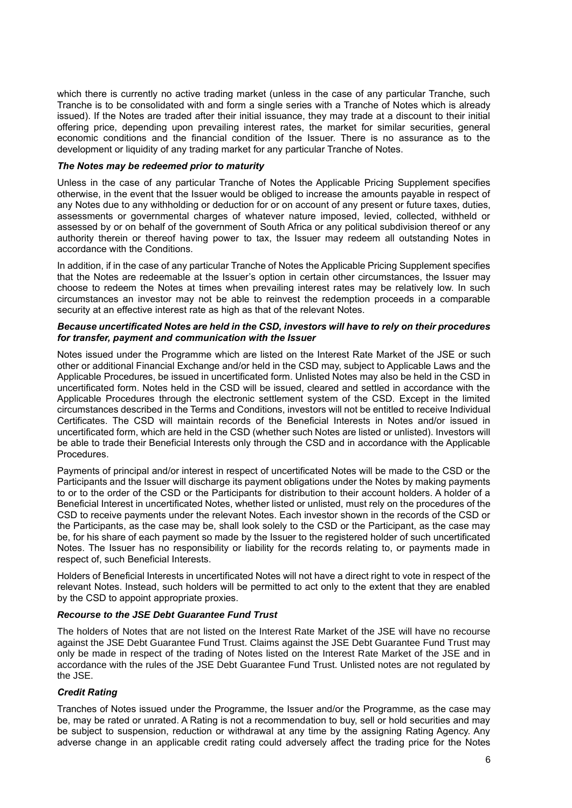which there is currently no active trading market (unless in the case of any particular Tranche, such Tranche is to be consolidated with and form a single series with a Tranche of Notes which is already issued). If the Notes are traded after their initial issuance, they may trade at a discount to their initial offering price, depending upon prevailing interest rates, the market for similar securities, general economic conditions and the financial condition of the Issuer. There is no assurance as to the development or liquidity of any trading market for any particular Tranche of Notes.

### *The Notes may be redeemed prior to maturity*

Unless in the case of any particular Tranche of Notes the Applicable Pricing Supplement specifies otherwise, in the event that the Issuer would be obliged to increase the amounts payable in respect of any Notes due to any withholding or deduction for or on account of any present or future taxes, duties, assessments or governmental charges of whatever nature imposed, levied, collected, withheld or assessed by or on behalf of the government of South Africa or any political subdivision thereof or any authority therein or thereof having power to tax, the Issuer may redeem all outstanding Notes in accordance with the Conditions.

In addition, if in the case of any particular Tranche of Notes the Applicable Pricing Supplement specifies that the Notes are redeemable at the Issuer's option in certain other circumstances, the Issuer may choose to redeem the Notes at times when prevailing interest rates may be relatively low. In such circumstances an investor may not be able to reinvest the redemption proceeds in a comparable security at an effective interest rate as high as that of the relevant Notes.

### *Because uncertificated Notes are held in the CSD, investors will have to rely on their procedures for transfer, payment and communication with the Issuer*

Notes issued under the Programme which are listed on the Interest Rate Market of the JSE or such other or additional Financial Exchange and/or held in the CSD may, subject to Applicable Laws and the Applicable Procedures, be issued in uncertificated form. Unlisted Notes may also be held in the CSD in uncertificated form. Notes held in the CSD will be issued, cleared and settled in accordance with the Applicable Procedures through the electronic settlement system of the CSD. Except in the limited circumstances described in the Terms and Conditions, investors will not be entitled to receive Individual Certificates. The CSD will maintain records of the Beneficial Interests in Notes and/or issued in uncertificated form, which are held in the CSD (whether such Notes are listed or unlisted). Investors will be able to trade their Beneficial Interests only through the CSD and in accordance with the Applicable Procedures.

Payments of principal and/or interest in respect of uncertificated Notes will be made to the CSD or the Participants and the Issuer will discharge its payment obligations under the Notes by making payments to or to the order of the CSD or the Participants for distribution to their account holders. A holder of a Beneficial Interest in uncertificated Notes, whether listed or unlisted, must rely on the procedures of the CSD to receive payments under the relevant Notes. Each investor shown in the records of the CSD or the Participants, as the case may be, shall look solely to the CSD or the Participant, as the case may be, for his share of each payment so made by the Issuer to the registered holder of such uncertificated Notes. The Issuer has no responsibility or liability for the records relating to, or payments made in respect of, such Beneficial Interests.

Holders of Beneficial Interests in uncertificated Notes will not have a direct right to vote in respect of the relevant Notes. Instead, such holders will be permitted to act only to the extent that they are enabled by the CSD to appoint appropriate proxies.

### *Recourse to the JSE Debt Guarantee Fund Trust*

The holders of Notes that are not listed on the Interest Rate Market of the JSE will have no recourse against the JSE Debt Guarantee Fund Trust. Claims against the JSE Debt Guarantee Fund Trust may only be made in respect of the trading of Notes listed on the Interest Rate Market of the JSE and in accordance with the rules of the JSE Debt Guarantee Fund Trust. Unlisted notes are not regulated by the JSE.

## *Credit Rating*

Tranches of Notes issued under the Programme, the Issuer and/or the Programme, as the case may be, may be rated or unrated. A Rating is not a recommendation to buy, sell or hold securities and may be subject to suspension, reduction or withdrawal at any time by the assigning Rating Agency. Any adverse change in an applicable credit rating could adversely affect the trading price for the Notes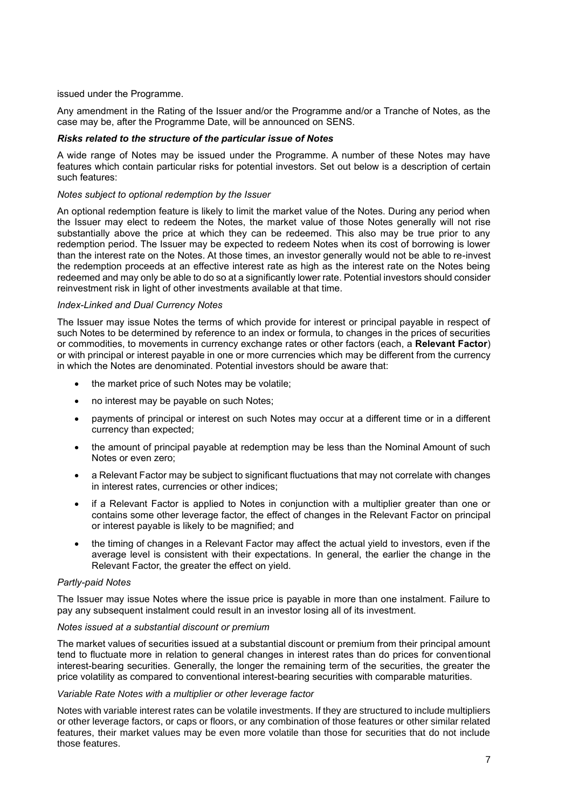issued under the Programme.

Any amendment in the Rating of the Issuer and/or the Programme and/or a Tranche of Notes, as the case may be, after the Programme Date, will be announced on SENS.

## *Risks related to the structure of the particular issue of Notes*

A wide range of Notes may be issued under the Programme. A number of these Notes may have features which contain particular risks for potential investors. Set out below is a description of certain such features:

## *Notes subject to optional redemption by the Issuer*

An optional redemption feature is likely to limit the market value of the Notes. During any period when the Issuer may elect to redeem the Notes, the market value of those Notes generally will not rise substantially above the price at which they can be redeemed. This also may be true prior to any redemption period. The Issuer may be expected to redeem Notes when its cost of borrowing is lower than the interest rate on the Notes. At those times, an investor generally would not be able to re-invest the redemption proceeds at an effective interest rate as high as the interest rate on the Notes being redeemed and may only be able to do so at a significantly lower rate. Potential investors should consider reinvestment risk in light of other investments available at that time.

### *Index-Linked and Dual Currency Notes*

The Issuer may issue Notes the terms of which provide for interest or principal payable in respect of such Notes to be determined by reference to an index or formula, to changes in the prices of securities or commodities, to movements in currency exchange rates or other factors (each, a **Relevant Factor**) or with principal or interest payable in one or more currencies which may be different from the currency in which the Notes are denominated. Potential investors should be aware that:

- the market price of such Notes may be volatile;
- no interest may be payable on such Notes;
- payments of principal or interest on such Notes may occur at a different time or in a different currency than expected;
- the amount of principal payable at redemption may be less than the Nominal Amount of such Notes or even zero;
- a Relevant Factor may be subject to significant fluctuations that may not correlate with changes in interest rates, currencies or other indices;
- if a Relevant Factor is applied to Notes in conjunction with a multiplier greater than one or contains some other leverage factor, the effect of changes in the Relevant Factor on principal or interest payable is likely to be magnified; and
- the timing of changes in a Relevant Factor may affect the actual yield to investors, even if the average level is consistent with their expectations. In general, the earlier the change in the Relevant Factor, the greater the effect on yield.

## *Partly-paid Notes*

The Issuer may issue Notes where the issue price is payable in more than one instalment. Failure to pay any subsequent instalment could result in an investor losing all of its investment.

## *Notes issued at a substantial discount or premium*

The market values of securities issued at a substantial discount or premium from their principal amount tend to fluctuate more in relation to general changes in interest rates than do prices for conventional interest-bearing securities. Generally, the longer the remaining term of the securities, the greater the price volatility as compared to conventional interest-bearing securities with comparable maturities.

## *Variable Rate Notes with a multiplier or other leverage factor*

Notes with variable interest rates can be volatile investments. If they are structured to include multipliers or other leverage factors, or caps or floors, or any combination of those features or other similar related features, their market values may be even more volatile than those for securities that do not include those features.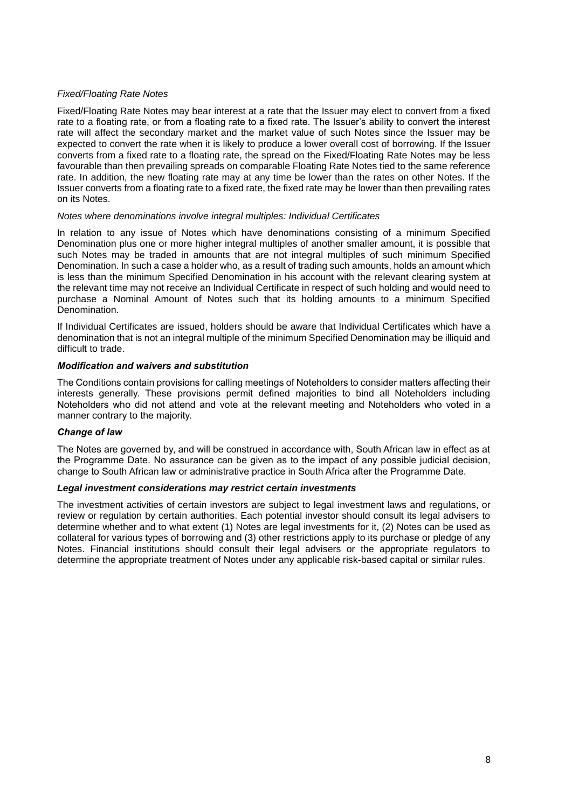### *Fixed/Floating Rate Notes*

Fixed/Floating Rate Notes may bear interest at a rate that the Issuer may elect to convert from a fixed rate to a floating rate, or from a floating rate to a fixed rate. The Issuer's ability to convert the interest rate will affect the secondary market and the market value of such Notes since the Issuer may be expected to convert the rate when it is likely to produce a lower overall cost of borrowing. If the Issuer converts from a fixed rate to a floating rate, the spread on the Fixed/Floating Rate Notes may be less favourable than then prevailing spreads on comparable Floating Rate Notes tied to the same reference rate. In addition, the new floating rate may at any time be lower than the rates on other Notes. If the Issuer converts from a floating rate to a fixed rate, the fixed rate may be lower than then prevailing rates on its Notes.

### *Notes where denominations involve integral multiples: Individual Certificates*

In relation to any issue of Notes which have denominations consisting of a minimum Specified Denomination plus one or more higher integral multiples of another smaller amount, it is possible that such Notes may be traded in amounts that are not integral multiples of such minimum Specified Denomination. In such a case a holder who, as a result of trading such amounts, holds an amount which is less than the minimum Specified Denomination in his account with the relevant clearing system at the relevant time may not receive an Individual Certificate in respect of such holding and would need to purchase a Nominal Amount of Notes such that its holding amounts to a minimum Specified Denomination.

If Individual Certificates are issued, holders should be aware that Individual Certificates which have a denomination that is not an integral multiple of the minimum Specified Denomination may be illiquid and difficult to trade.

## *Modification and waivers and substitution*

The Conditions contain provisions for calling meetings of Noteholders to consider matters affecting their interests generally. These provisions permit defined majorities to bind all Noteholders including Noteholders who did not attend and vote at the relevant meeting and Noteholders who voted in a manner contrary to the majority.

## *Change of law*

The Notes are governed by, and will be construed in accordance with, South African law in effect as at the Programme Date. No assurance can be given as to the impact of any possible judicial decision, change to South African law or administrative practice in South Africa after the Programme Date.

### *Legal investment considerations may restrict certain investments*

The investment activities of certain investors are subject to legal investment laws and regulations, or review or regulation by certain authorities. Each potential investor should consult its legal advisers to determine whether and to what extent (1) Notes are legal investments for it, (2) Notes can be used as collateral for various types of borrowing and (3) other restrictions apply to its purchase or pledge of any Notes. Financial institutions should consult their legal advisers or the appropriate regulators to determine the appropriate treatment of Notes under any applicable risk-based capital or similar rules.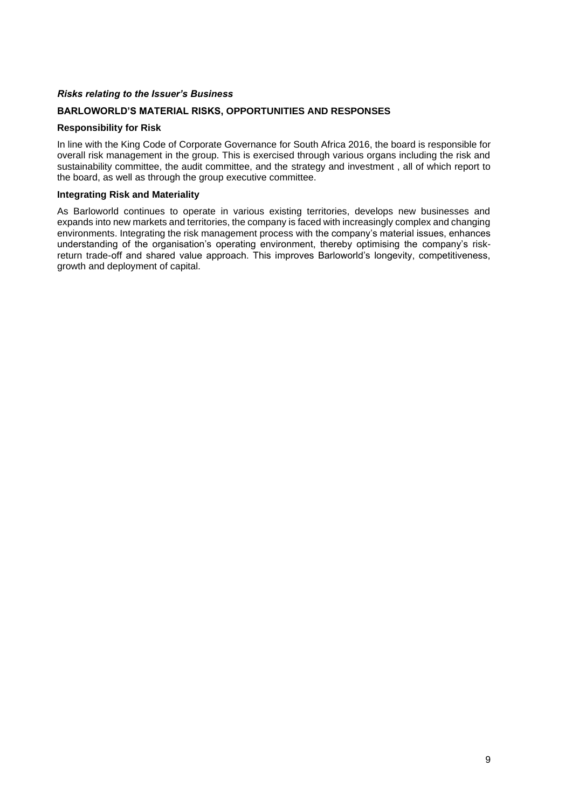## *Risks relating to the Issuer's Business*

## **BARLOWORLD'S MATERIAL RISKS, OPPORTUNITIES AND RESPONSES**

### **Responsibility for Risk**

In line with the King Code of Corporate Governance for South Africa 2016, the board is responsible for overall risk management in the group. This is exercised through various organs including the risk and sustainability committee, the audit committee, and the strategy and investment , all of which report to the board, as well as through the group executive committee.

### **Integrating Risk and Materiality**

As Barloworld continues to operate in various existing territories, develops new businesses and expands into new markets and territories, the company is faced with increasingly complex and changing environments. Integrating the risk management process with the company's material issues, enhances understanding of the organisation's operating environment, thereby optimising the company's riskreturn trade-off and shared value approach. This improves Barloworld's longevity, competitiveness, growth and deployment of capital.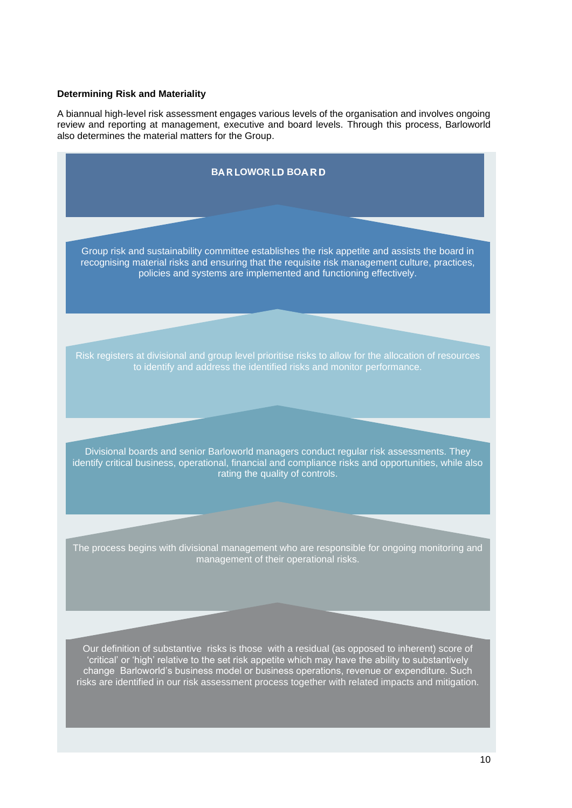## **Determining Risk and Materiality**

A biannual high-level risk assessment engages various levels of the organisation and involves ongoing review and reporting at management, executive and board levels. Through this process, Barloworld also determines the material matters for the Group.

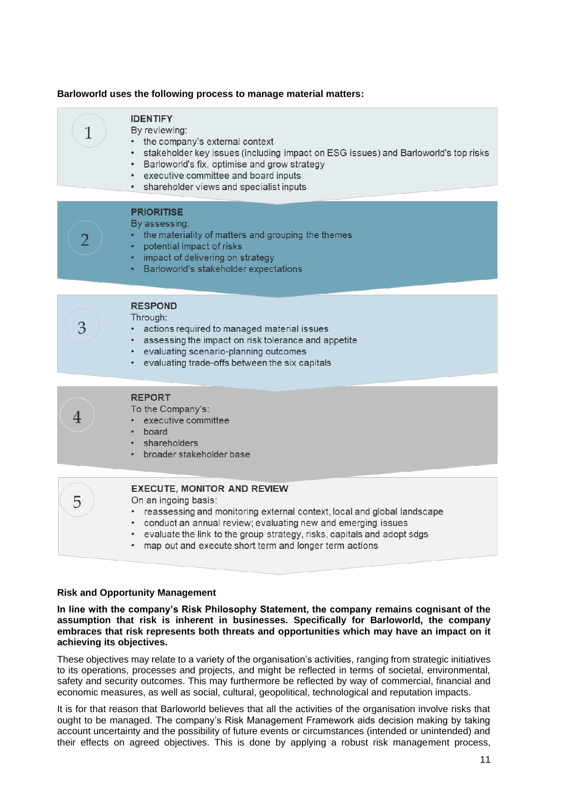### **Barloworld uses the following process to manage material matters:**

| <b>IDENTIFY</b><br>1<br>By reviewing:<br>the company's external context<br>stakeholder key issues (including impact on ESG issues) and Barloworld's top risks<br>• Barloworld's fix, optimise and grow strategy<br>• executive committee and board inputs<br>• shareholder views and specialist inputs<br><b>PRIORITISE</b><br>By assessing:<br>the materiality of matters and grouping the themes<br>potential impact of risks<br>impact of delivering on strategy<br>• Barloworld's stakeholder expectations<br><b>RESPOND</b><br>Through:<br>3<br>actions required to managed material issues<br>$\bullet$ .<br>• assessing the impact on risk tolerance and appetite<br>• evaluating scenario-planning outcomes<br>• evaluating trade-offs between the six capitals<br><b>REPORT</b><br>To the Company's:<br>executive committee<br>board<br>shareholders<br>٠<br>broader stakeholder base<br><b>EXECUTE, MONITOR AND REVIEW</b><br>5<br>On an ingoing basis:<br>reassessing and monitoring external context, local and global landscape<br>٠<br>conduct an annual review; evaluating new and emerging issues<br>٠<br>evaluate the link to the group strategy, risks, capitals and adopt sdgs<br>٠<br>map out and execute short term and longer term actions |  |
|------------------------------------------------------------------------------------------------------------------------------------------------------------------------------------------------------------------------------------------------------------------------------------------------------------------------------------------------------------------------------------------------------------------------------------------------------------------------------------------------------------------------------------------------------------------------------------------------------------------------------------------------------------------------------------------------------------------------------------------------------------------------------------------------------------------------------------------------------------------------------------------------------------------------------------------------------------------------------------------------------------------------------------------------------------------------------------------------------------------------------------------------------------------------------------------------------------------------------------------------------------------|--|
|                                                                                                                                                                                                                                                                                                                                                                                                                                                                                                                                                                                                                                                                                                                                                                                                                                                                                                                                                                                                                                                                                                                                                                                                                                                                  |  |
|                                                                                                                                                                                                                                                                                                                                                                                                                                                                                                                                                                                                                                                                                                                                                                                                                                                                                                                                                                                                                                                                                                                                                                                                                                                                  |  |
|                                                                                                                                                                                                                                                                                                                                                                                                                                                                                                                                                                                                                                                                                                                                                                                                                                                                                                                                                                                                                                                                                                                                                                                                                                                                  |  |
|                                                                                                                                                                                                                                                                                                                                                                                                                                                                                                                                                                                                                                                                                                                                                                                                                                                                                                                                                                                                                                                                                                                                                                                                                                                                  |  |
|                                                                                                                                                                                                                                                                                                                                                                                                                                                                                                                                                                                                                                                                                                                                                                                                                                                                                                                                                                                                                                                                                                                                                                                                                                                                  |  |
|                                                                                                                                                                                                                                                                                                                                                                                                                                                                                                                                                                                                                                                                                                                                                                                                                                                                                                                                                                                                                                                                                                                                                                                                                                                                  |  |
|                                                                                                                                                                                                                                                                                                                                                                                                                                                                                                                                                                                                                                                                                                                                                                                                                                                                                                                                                                                                                                                                                                                                                                                                                                                                  |  |
|                                                                                                                                                                                                                                                                                                                                                                                                                                                                                                                                                                                                                                                                                                                                                                                                                                                                                                                                                                                                                                                                                                                                                                                                                                                                  |  |
|                                                                                                                                                                                                                                                                                                                                                                                                                                                                                                                                                                                                                                                                                                                                                                                                                                                                                                                                                                                                                                                                                                                                                                                                                                                                  |  |

## **Risk and Opportunity Management**

**In line with the company's Risk Philosophy Statement, the company remains cognisant of the assumption that risk is inherent in businesses. Specifically for Barloworld, the company embraces that risk represents both threats and opportunities which may have an impact on it achieving its objectives.**

These objectives may relate to a variety of the organisation's activities, ranging from strategic initiatives to its operations, processes and projects, and might be reflected in terms of societal, environmental, safety and security outcomes. This may furthermore be reflected by way of commercial, financial and economic measures, as well as social, cultural, geopolitical, technological and reputation impacts.

It is for that reason that Barloworld believes that all the activities of the organisation involve risks that ought to be managed. The company's Risk Management Framework aids decision making by taking account uncertainty and the possibility of future events or circumstances (intended or unintended) and their effects on agreed objectives. This is done by applying a robust risk management process,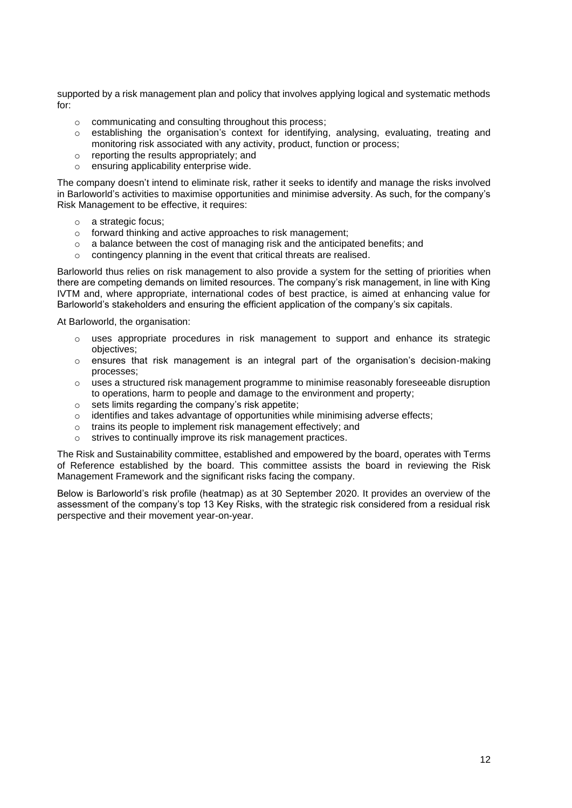supported by a risk management plan and policy that involves applying logical and systematic methods for:

- o communicating and consulting throughout this process;
- o establishing the organisation's context for identifying, analysing, evaluating, treating and monitoring risk associated with any activity, product, function or process;
- o reporting the results appropriately; and
- o ensuring applicability enterprise wide.

The company doesn't intend to eliminate risk, rather it seeks to identify and manage the risks involved in Barloworld's activities to maximise opportunities and minimise adversity. As such, for the company's Risk Management to be effective, it requires:

- o a strategic focus;
- o forward thinking and active approaches to risk management;
- o a balance between the cost of managing risk and the anticipated benefits; and
- o contingency planning in the event that critical threats are realised.

Barloworld thus relies on risk management to also provide a system for the setting of priorities when there are competing demands on limited resources. The company's risk management, in line with King IVTM and, where appropriate, international codes of best practice, is aimed at enhancing value for Barloworld's stakeholders and ensuring the efficient application of the company's six capitals.

At Barloworld, the organisation:

- $\circ$  uses appropriate procedures in risk management to support and enhance its strategic objectives;
- $\circ$  ensures that risk management is an integral part of the organisation's decision-making processes;
- $\circ$  uses a structured risk management programme to minimise reasonably foreseeable disruption to operations, harm to people and damage to the environment and property;
- o sets limits regarding the company's risk appetite;
- o identifies and takes advantage of opportunities while minimising adverse effects;
- o trains its people to implement risk management effectively; and
- o strives to continually improve its risk management practices.

The Risk and Sustainability committee, established and empowered by the board, operates with Terms of Reference established by the board. This committee assists the board in reviewing the Risk Management Framework and the significant risks facing the company.

Below is Barloworld's risk profile (heatmap) as at 30 September 2020. It provides an overview of the assessment of the company's top 13 Key Risks, with the strategic risk considered from a residual risk perspective and their movement year-on-year.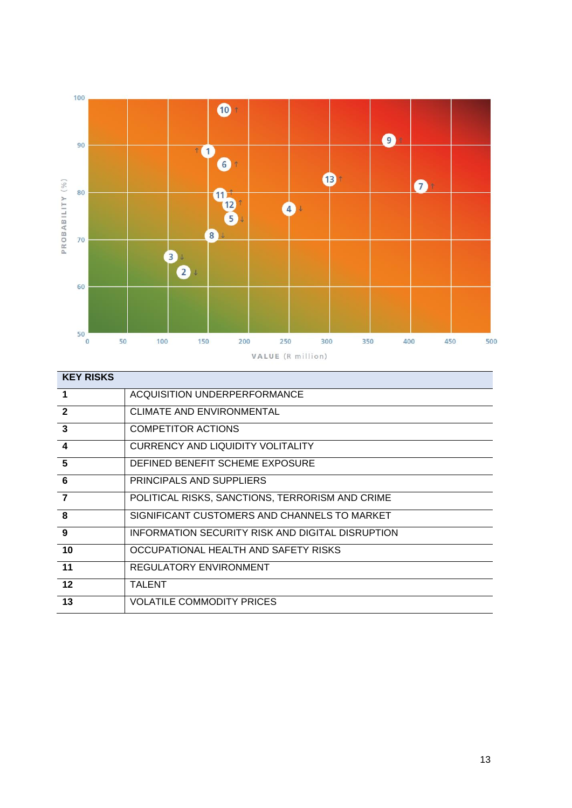

| <b>KEY RISKS</b>        |                                                  |
|-------------------------|--------------------------------------------------|
| $\blacksquare$          | ACQUISITION UNDERPERFORMANCE                     |
| $\overline{2}$          | <b>CLIMATE AND ENVIRONMENTAL</b>                 |
| $\overline{3}$          | <b>COMPETITOR ACTIONS</b>                        |
| $\boldsymbol{4}$        | <b>CURRENCY AND LIQUIDITY VOLITALITY</b>         |
| 5                       | DEFINED BENEFIT SCHEME EXPOSURE                  |
| $6\phantom{1}6$         | PRINCIPALS AND SUPPLIERS                         |
| $\overline{7}$          | POLITICAL RISKS, SANCTIONS, TERRORISM AND CRIME  |
| $\overline{\mathbf{8}}$ | SIGNIFICANT CUSTOMERS AND CHANNELS TO MARKET     |
| 9                       | INFORMATION SECURITY RISK AND DIGITAL DISRUPTION |
| 10                      | OCCUPATIONAL HEALTH AND SAFETY RISKS             |
| 11                      | REGULATORY ENVIRONMENT                           |
| 12                      | TALENT                                           |
| 13                      | <b>VOLATILE COMMODITY PRICES</b>                 |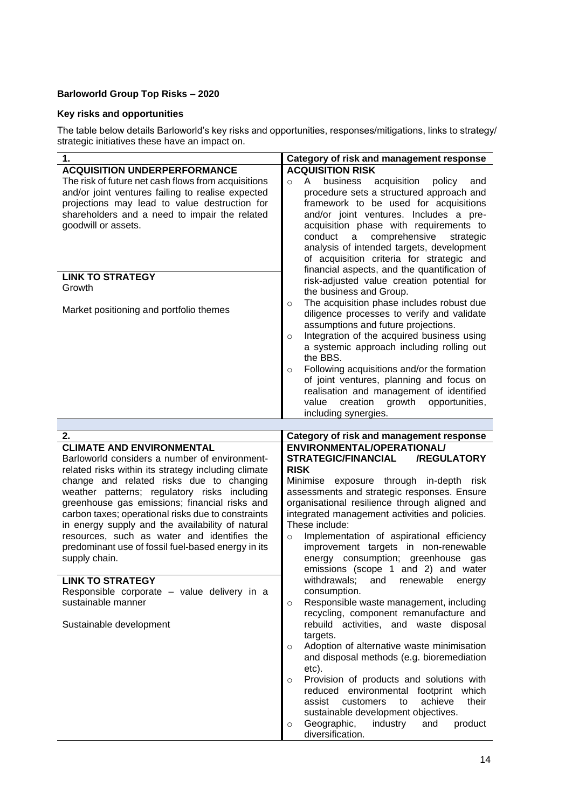# **Barloworld Group Top Risks – 2020**

## **Key risks and opportunities**

The table below details Barloworld's key risks and opportunities, responses/mitigations, links to strategy/ strategic initiatives these have an impact on.

| 1.<br>Category of risk and management response                                                                   |       |
|------------------------------------------------------------------------------------------------------------------|-------|
| <b>ACQUISITION RISK</b><br><b>ACQUISITION UNDERPERFORMANCE</b>                                                   |       |
| The risk of future net cash flows from acquisitions<br>business<br>A<br>acquisition<br>policy<br>$\Omega$        | and   |
| and/or joint ventures failing to realise expected<br>procedure sets a structured approach and                    |       |
| projections may lead to value destruction for<br>framework to be used for acquisitions                           |       |
| shareholders and a need to impair the related<br>and/or joint ventures. Includes a pre-                          |       |
| goodwill or assets.<br>acquisition phase with requirements to                                                    |       |
| conduct<br>comprehensive<br>a<br>strategic                                                                       |       |
| analysis of intended targets, development                                                                        |       |
| of acquisition criteria for strategic and                                                                        |       |
| financial aspects, and the quantification of                                                                     |       |
| <b>LINK TO STRATEGY</b><br>risk-adjusted value creation potential for                                            |       |
| Growth<br>the business and Group.                                                                                |       |
| The acquisition phase includes robust due<br>$\circ$                                                             |       |
| Market positioning and portfolio themes<br>diligence processes to verify and validate                            |       |
| assumptions and future projections.                                                                              |       |
| Integration of the acquired business using<br>$\circ$                                                            |       |
| a systemic approach including rolling out                                                                        |       |
| the BBS.                                                                                                         |       |
| Following acquisitions and/or the formation<br>$\circ$                                                           |       |
| of joint ventures, planning and focus on                                                                         |       |
| realisation and management of identified                                                                         |       |
| creation<br>growth<br>value<br>opportunities,                                                                    |       |
| including synergies.                                                                                             |       |
|                                                                                                                  |       |
| Category of risk and management response<br>2.<br><b>CLIMATE AND ENVIRONMENTAL</b><br>ENVIRONMENTAL/OPERATIONAL/ |       |
| <b>STRATEGIC/FINANCIAL</b><br>Barloworld considers a number of environment-<br><b>/REGULATORY</b>                |       |
| <b>RISK</b><br>related risks within its strategy including climate                                               |       |
| change and related risks due to changing<br>Minimise exposure through in-depth risk                              |       |
| weather patterns; regulatory risks including<br>assessments and strategic responses. Ensure                      |       |
| organisational resilience through aligned and<br>greenhouse gas emissions; financial risks and                   |       |
| carbon taxes; operational risks due to constraints<br>integrated management activities and policies.             |       |
| These include:<br>in energy supply and the availability of natural                                               |       |
| resources, such as water and identifies the<br>Implementation of aspirational efficiency<br>$\circ$              |       |
| improvement targets in non-renewable<br>predominant use of fossil fuel-based energy in its                       |       |
| supply chain.<br>energy consumption; greenhouse gas                                                              |       |
| emissions (scope 1 and 2) and water                                                                              |       |
| <b>LINK TO STRATEGY</b><br>withdrawals; and renewable energy                                                     |       |
| consumption.<br>Responsible corporate - value delivery in a                                                      |       |
| Responsible waste management, including<br>sustainable manner<br>$\circ$                                         |       |
| recycling, component remanufacture and                                                                           |       |
| rebuild activities, and waste disposal<br>Sustainable development                                                |       |
| targets.                                                                                                         |       |
| Adoption of alternative waste minimisation<br>$\circ$                                                            |       |
| and disposal methods (e.g. bioremediation                                                                        |       |
| etc).                                                                                                            |       |
| Provision of products and solutions with<br>$\circ$                                                              |       |
|                                                                                                                  |       |
| reduced environmental footprint                                                                                  | which |
| customers<br>achieve<br>assist<br>to                                                                             | their |
| sustainable development objectives.<br>Geographic,<br>industry<br>product<br>and<br>$\circ$                      |       |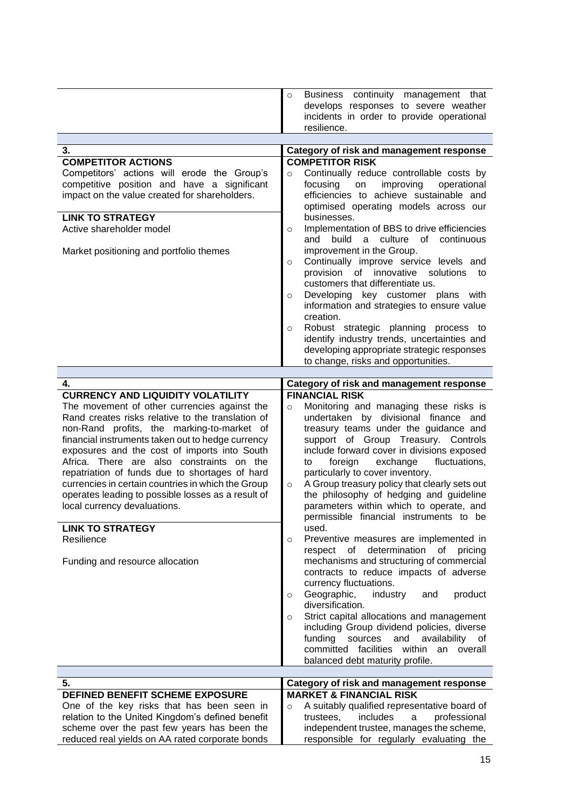|                                                                                                                                                                                                                                                                                                                                                                                                                                                                                                 | Business continuity management that<br>$\circ$<br>develops responses to severe weather<br>incidents in order to provide operational                                                                                                                                                                                                                                                                                                                                                                    |
|-------------------------------------------------------------------------------------------------------------------------------------------------------------------------------------------------------------------------------------------------------------------------------------------------------------------------------------------------------------------------------------------------------------------------------------------------------------------------------------------------|--------------------------------------------------------------------------------------------------------------------------------------------------------------------------------------------------------------------------------------------------------------------------------------------------------------------------------------------------------------------------------------------------------------------------------------------------------------------------------------------------------|
|                                                                                                                                                                                                                                                                                                                                                                                                                                                                                                 | resilience.                                                                                                                                                                                                                                                                                                                                                                                                                                                                                            |
| 3.                                                                                                                                                                                                                                                                                                                                                                                                                                                                                              | Category of risk and management response                                                                                                                                                                                                                                                                                                                                                                                                                                                               |
| <b>COMPETITOR ACTIONS</b>                                                                                                                                                                                                                                                                                                                                                                                                                                                                       | <b>COMPETITOR RISK</b>                                                                                                                                                                                                                                                                                                                                                                                                                                                                                 |
| Competitors' actions will erode the Group's<br>competitive position and have a significant<br>impact on the value created for shareholders.                                                                                                                                                                                                                                                                                                                                                     | Continually reduce controllable costs by<br>$\circ$<br>improving<br>focusing<br>on<br>operational<br>efficiencies to achieve sustainable and<br>optimised operating models across our                                                                                                                                                                                                                                                                                                                  |
| <b>LINK TO STRATEGY</b><br>Active shareholder model                                                                                                                                                                                                                                                                                                                                                                                                                                             | businesses.<br>Implementation of BBS to drive efficiencies<br>$\circ$                                                                                                                                                                                                                                                                                                                                                                                                                                  |
| Market positioning and portfolio themes                                                                                                                                                                                                                                                                                                                                                                                                                                                         | build<br>a culture of continuous<br>and<br>improvement in the Group.                                                                                                                                                                                                                                                                                                                                                                                                                                   |
|                                                                                                                                                                                                                                                                                                                                                                                                                                                                                                 | Continually improve service levels and<br>$\circ$<br>provision of innovative<br>solutions to<br>customers that differentiate us.                                                                                                                                                                                                                                                                                                                                                                       |
|                                                                                                                                                                                                                                                                                                                                                                                                                                                                                                 | Developing key customer plans<br>with<br>$\circ$<br>information and strategies to ensure value<br>creation.                                                                                                                                                                                                                                                                                                                                                                                            |
|                                                                                                                                                                                                                                                                                                                                                                                                                                                                                                 | Robust strategic planning process to<br>$\circ$<br>identify industry trends, uncertainties and<br>developing appropriate strategic responses<br>to change, risks and opportunities.                                                                                                                                                                                                                                                                                                                    |
|                                                                                                                                                                                                                                                                                                                                                                                                                                                                                                 |                                                                                                                                                                                                                                                                                                                                                                                                                                                                                                        |
| 4.                                                                                                                                                                                                                                                                                                                                                                                                                                                                                              | Category of risk and management response                                                                                                                                                                                                                                                                                                                                                                                                                                                               |
| <b>CURRENCY AND LIQUIDITY VOLATILITY</b>                                                                                                                                                                                                                                                                                                                                                                                                                                                        | <b>FINANCIAL RISK</b>                                                                                                                                                                                                                                                                                                                                                                                                                                                                                  |
| The movement of other currencies against the<br>Rand creates risks relative to the translation of<br>non-Rand profits, the marking-to-market of<br>financial instruments taken out to hedge currency<br>exposures and the cost of imports into South<br>Africa. There are also constraints on the<br>repatriation of funds due to shortages of hard<br>currencies in certain countries in which the Group<br>operates leading to possible losses as a result of<br>local currency devaluations. | Monitoring and managing these risks is<br>$\circ$<br>undertaken by divisional finance and<br>treasury teams under the guidance and<br>support of Group Treasury. Controls<br>include forward cover in divisions exposed<br>fluctuations,<br>exchange<br>foreign<br>to<br>particularly to cover inventory.<br>A Group treasury policy that clearly sets out<br>$\circ$<br>the philosophy of hedging and guideline<br>parameters within which to operate, and<br>permissible financial instruments to be |
| <b>LINK TO STRATEGY</b><br>Resilience                                                                                                                                                                                                                                                                                                                                                                                                                                                           | used.<br>Preventive measures are implemented in<br>$\circ$                                                                                                                                                                                                                                                                                                                                                                                                                                             |
| Funding and resource allocation                                                                                                                                                                                                                                                                                                                                                                                                                                                                 | respect of determination<br>of<br>pricing<br>mechanisms and structuring of commercial<br>contracts to reduce impacts of adverse<br>currency fluctuations.<br>Geographic,<br>industry<br>product<br>and<br>$\circ$                                                                                                                                                                                                                                                                                      |
|                                                                                                                                                                                                                                                                                                                                                                                                                                                                                                 | diversification.<br>Strict capital allocations and management<br>$\circ$<br>including Group dividend policies, diverse<br>funding<br>sources<br>and availability of<br>committed facilities<br>within an overall<br>balanced debt maturity profile.                                                                                                                                                                                                                                                    |
| 5.                                                                                                                                                                                                                                                                                                                                                                                                                                                                                              | Category of risk and management response                                                                                                                                                                                                                                                                                                                                                                                                                                                               |
| DEFINED BENEFIT SCHEME EXPOSURE<br>One of the key risks that has been seen in                                                                                                                                                                                                                                                                                                                                                                                                                   | <b>MARKET &amp; FINANCIAL RISK</b><br>A suitably qualified representative board of<br>$\circ$                                                                                                                                                                                                                                                                                                                                                                                                          |
| relation to the United Kingdom's defined benefit                                                                                                                                                                                                                                                                                                                                                                                                                                                | includes<br>trustees,<br>professional<br>a                                                                                                                                                                                                                                                                                                                                                                                                                                                             |
|                                                                                                                                                                                                                                                                                                                                                                                                                                                                                                 |                                                                                                                                                                                                                                                                                                                                                                                                                                                                                                        |
| scheme over the past few years has been the                                                                                                                                                                                                                                                                                                                                                                                                                                                     | independent trustee, manages the scheme,<br>responsible for regularly evaluating the                                                                                                                                                                                                                                                                                                                                                                                                                   |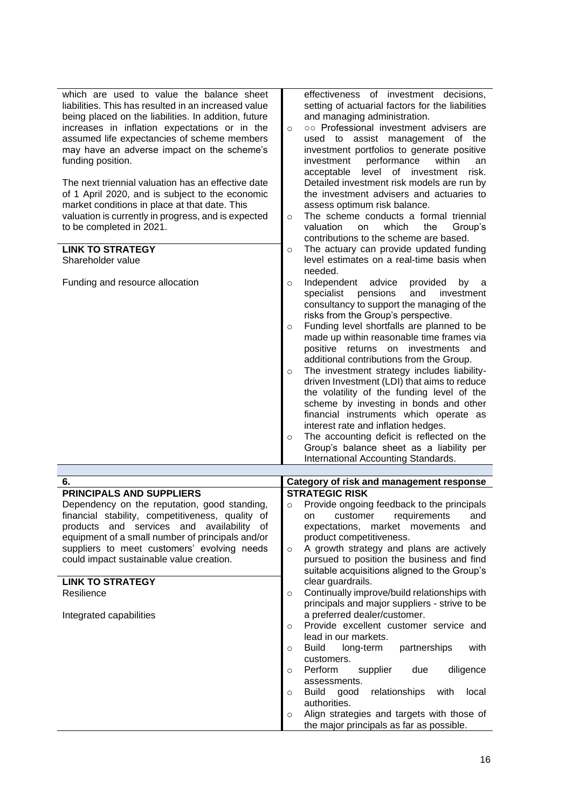| which are used to value the balance sheet<br>liabilities. This has resulted in an increased value<br>being placed on the liabilities. In addition, future<br>increases in inflation expectations or in the<br>assumed life expectancies of scheme members<br>may have an adverse impact on the scheme's<br>funding position.<br>The next triennial valuation has an effective date<br>of 1 April 2020, and is subject to the economic<br>market conditions in place at that date. This<br>valuation is currently in progress, and is expected<br>to be completed in 2021.<br><b>LINK TO STRATEGY</b><br>Shareholder value | effectiveness of investment decisions,<br>setting of actuarial factors for the liabilities<br>and managing administration.<br>oo Professional investment advisers are<br>$\circ$<br>used to assist management of<br>the<br>investment portfolios to generate positive<br>investment<br>performance<br>within<br>an<br>acceptable<br>level<br>of investment<br>risk.<br>Detailed investment risk models are run by<br>the investment advisers and actuaries to<br>assess optimum risk balance.<br>The scheme conducts a formal triennial<br>$\circ$<br>valuation<br>which<br>the<br>Group's<br>on<br>contributions to the scheme are based.<br>The actuary can provide updated funding<br>$\circ$<br>level estimates on a real-time basis when                                                                                       |
|---------------------------------------------------------------------------------------------------------------------------------------------------------------------------------------------------------------------------------------------------------------------------------------------------------------------------------------------------------------------------------------------------------------------------------------------------------------------------------------------------------------------------------------------------------------------------------------------------------------------------|-------------------------------------------------------------------------------------------------------------------------------------------------------------------------------------------------------------------------------------------------------------------------------------------------------------------------------------------------------------------------------------------------------------------------------------------------------------------------------------------------------------------------------------------------------------------------------------------------------------------------------------------------------------------------------------------------------------------------------------------------------------------------------------------------------------------------------------|
| Funding and resource allocation                                                                                                                                                                                                                                                                                                                                                                                                                                                                                                                                                                                           | needed.<br>Independent<br>advice<br>provided<br>by<br>$\circ$<br>a<br>specialist<br>pensions<br>and<br>investment<br>consultancy to support the managing of the<br>risks from the Group's perspective.<br>Funding level shortfalls are planned to be<br>$\circ$<br>made up within reasonable time frames via<br>positive returns on<br>investments<br>and<br>additional contributions from the Group.<br>The investment strategy includes liability-<br>$\circ$<br>driven Investment (LDI) that aims to reduce<br>the volatility of the funding level of the<br>scheme by investing in bonds and other<br>financial instruments which operate as<br>interest rate and inflation hedges.<br>The accounting deficit is reflected on the<br>$\circ$<br>Group's balance sheet as a liability per<br>International Accounting Standards. |
|                                                                                                                                                                                                                                                                                                                                                                                                                                                                                                                                                                                                                           |                                                                                                                                                                                                                                                                                                                                                                                                                                                                                                                                                                                                                                                                                                                                                                                                                                     |
| 6.                                                                                                                                                                                                                                                                                                                                                                                                                                                                                                                                                                                                                        | Category of risk and management response                                                                                                                                                                                                                                                                                                                                                                                                                                                                                                                                                                                                                                                                                                                                                                                            |
| <b>PRINCIPALS AND SUPPLIERS</b>                                                                                                                                                                                                                                                                                                                                                                                                                                                                                                                                                                                           | <b>STRATEGIC RISK</b>                                                                                                                                                                                                                                                                                                                                                                                                                                                                                                                                                                                                                                                                                                                                                                                                               |
| Dependency on the reputation, good standing,                                                                                                                                                                                                                                                                                                                                                                                                                                                                                                                                                                              | Provide ongoing feedback to the principals<br>$\circ$                                                                                                                                                                                                                                                                                                                                                                                                                                                                                                                                                                                                                                                                                                                                                                               |
| financial stability, competitiveness, quality of                                                                                                                                                                                                                                                                                                                                                                                                                                                                                                                                                                          | requirements<br>on<br>customer<br>and                                                                                                                                                                                                                                                                                                                                                                                                                                                                                                                                                                                                                                                                                                                                                                                               |
| and services and availability of<br>products<br>equipment of a small number of principals and/or                                                                                                                                                                                                                                                                                                                                                                                                                                                                                                                          | expectations, market movements<br>and<br>product competitiveness.                                                                                                                                                                                                                                                                                                                                                                                                                                                                                                                                                                                                                                                                                                                                                                   |
| suppliers to meet customers' evolving needs                                                                                                                                                                                                                                                                                                                                                                                                                                                                                                                                                                               | A growth strategy and plans are actively<br>$\circ$                                                                                                                                                                                                                                                                                                                                                                                                                                                                                                                                                                                                                                                                                                                                                                                 |
| could impact sustainable value creation.                                                                                                                                                                                                                                                                                                                                                                                                                                                                                                                                                                                  | pursued to position the business and find                                                                                                                                                                                                                                                                                                                                                                                                                                                                                                                                                                                                                                                                                                                                                                                           |
|                                                                                                                                                                                                                                                                                                                                                                                                                                                                                                                                                                                                                           | suitable acquisitions aligned to the Group's                                                                                                                                                                                                                                                                                                                                                                                                                                                                                                                                                                                                                                                                                                                                                                                        |
| <b>LINK TO STRATEGY</b>                                                                                                                                                                                                                                                                                                                                                                                                                                                                                                                                                                                                   | clear guardrails.                                                                                                                                                                                                                                                                                                                                                                                                                                                                                                                                                                                                                                                                                                                                                                                                                   |
| Resilience                                                                                                                                                                                                                                                                                                                                                                                                                                                                                                                                                                                                                | Continually improve/build relationships with<br>$\circ$                                                                                                                                                                                                                                                                                                                                                                                                                                                                                                                                                                                                                                                                                                                                                                             |
|                                                                                                                                                                                                                                                                                                                                                                                                                                                                                                                                                                                                                           | principals and major suppliers - strive to be                                                                                                                                                                                                                                                                                                                                                                                                                                                                                                                                                                                                                                                                                                                                                                                       |
| Integrated capabilities                                                                                                                                                                                                                                                                                                                                                                                                                                                                                                                                                                                                   | a preferred dealer/customer.                                                                                                                                                                                                                                                                                                                                                                                                                                                                                                                                                                                                                                                                                                                                                                                                        |
|                                                                                                                                                                                                                                                                                                                                                                                                                                                                                                                                                                                                                           | Provide excellent customer service and<br>$\circ$                                                                                                                                                                                                                                                                                                                                                                                                                                                                                                                                                                                                                                                                                                                                                                                   |
|                                                                                                                                                                                                                                                                                                                                                                                                                                                                                                                                                                                                                           | lead in our markets.                                                                                                                                                                                                                                                                                                                                                                                                                                                                                                                                                                                                                                                                                                                                                                                                                |
|                                                                                                                                                                                                                                                                                                                                                                                                                                                                                                                                                                                                                           | with<br><b>Build</b><br>partnerships<br>long-term<br>$\circ$                                                                                                                                                                                                                                                                                                                                                                                                                                                                                                                                                                                                                                                                                                                                                                        |
|                                                                                                                                                                                                                                                                                                                                                                                                                                                                                                                                                                                                                           | customers.<br>Perform<br>diligence<br>supplier<br>due<br>$\circ$                                                                                                                                                                                                                                                                                                                                                                                                                                                                                                                                                                                                                                                                                                                                                                    |
|                                                                                                                                                                                                                                                                                                                                                                                                                                                                                                                                                                                                                           | assessments.                                                                                                                                                                                                                                                                                                                                                                                                                                                                                                                                                                                                                                                                                                                                                                                                                        |
|                                                                                                                                                                                                                                                                                                                                                                                                                                                                                                                                                                                                                           | <b>Build</b><br>relationships<br>good<br>with<br>local<br>$\circ$                                                                                                                                                                                                                                                                                                                                                                                                                                                                                                                                                                                                                                                                                                                                                                   |
|                                                                                                                                                                                                                                                                                                                                                                                                                                                                                                                                                                                                                           | authorities.                                                                                                                                                                                                                                                                                                                                                                                                                                                                                                                                                                                                                                                                                                                                                                                                                        |
|                                                                                                                                                                                                                                                                                                                                                                                                                                                                                                                                                                                                                           | Align strategies and targets with those of<br>$\circ$<br>the major principals as far as possible.                                                                                                                                                                                                                                                                                                                                                                                                                                                                                                                                                                                                                                                                                                                                   |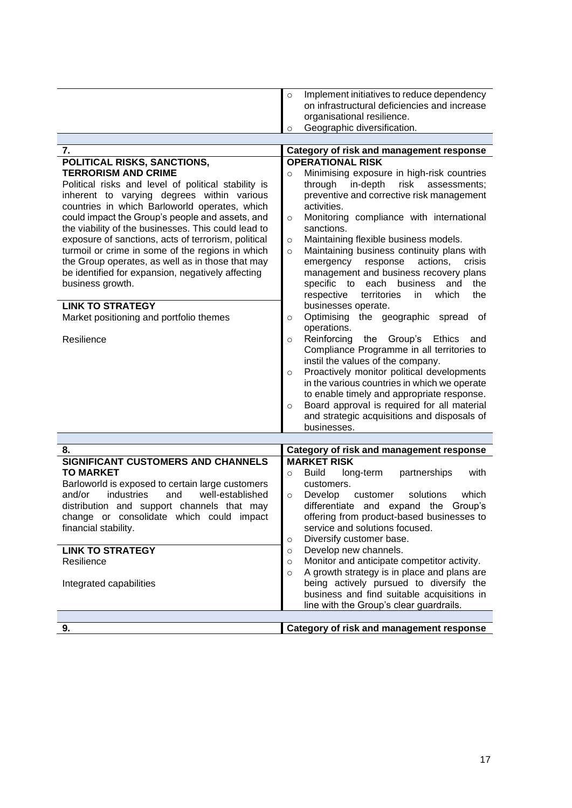|  | Implement initiatives to reduce dependency   |
|--|----------------------------------------------|
|  | on infrastructural deficiencies and increase |
|  | organisational resilience.                   |
|  | Geographic diversification.                  |
|  |                                              |

| 7.                                                  | Category of risk and management response               |
|-----------------------------------------------------|--------------------------------------------------------|
| POLITICAL RISKS, SANCTIONS,                         | <b>OPERATIONAL RISK</b>                                |
| <b>TERRORISM AND CRIME</b>                          | Minimising exposure in high-risk countries<br>$\circ$  |
| Political risks and level of political stability is | in-depth<br>risk<br>through<br>assessments;            |
| inherent to varying degrees within various          | preventive and corrective risk management              |
| countries in which Barloworld operates, which       | activities.                                            |
| could impact the Group's people and assets, and     | Monitoring compliance with international<br>$\circ$    |
| the viability of the businesses. This could lead to | sanctions.                                             |
| exposure of sanctions, acts of terrorism, political | Maintaining flexible business models.<br>$\circ$       |
| turmoil or crime in some of the regions in which    | Maintaining business continuity plans with<br>$\circ$  |
| the Group operates, as well as in those that may    | actions,<br>emergency<br>response<br>crisis            |
| be identified for expansion, negatively affecting   | management and business recovery plans                 |
| business growth.                                    | each business<br>specific to<br>the<br>and             |
| <b>LINK TO STRATEGY</b>                             | respective<br>territories<br>the<br>which<br>in.       |
|                                                     | businesses operate.<br>Optimising<br>of                |
| Market positioning and portfolio themes             | the geographic<br>spread<br>$\circ$<br>operations.     |
| Resilience                                          | Reinforcing<br>the Group's Ethics<br>and<br>$\circ$    |
|                                                     | Compliance Programme in all territories to             |
|                                                     | instil the values of the company.                      |
|                                                     | Proactively monitor political developments<br>$\circ$  |
|                                                     | in the various countries in which we operate           |
|                                                     | to enable timely and appropriate response.             |
|                                                     | Board approval is required for all material<br>$\circ$ |
|                                                     | and strategic acquisitions and disposals of            |
|                                                     | businesses.                                            |

| 8.                                               | Category of risk and management response               |
|--------------------------------------------------|--------------------------------------------------------|
| SIGNIFICANT CUSTOMERS AND CHANNELS               | <b>MARKET RISK</b>                                     |
| <b>TO MARKET</b>                                 | with<br>Build<br>long-term<br>partnerships<br>$\Omega$ |
| Barloworld is exposed to certain large customers | customers.                                             |
| industries and well-established<br>and/or        | Develop customer solutions<br>which<br>$\circ$         |
| distribution and support channels that may       | differentiate and expand the Group's                   |
| change or consolidate which could impact         | offering from product-based businesses to              |
| financial stability.                             | service and solutions focused.                         |
|                                                  | Diversify customer base.<br>$\circ$                    |
| <b>LINK TO STRATEGY</b>                          | Develop new channels.<br>$\circ$                       |
| Resilience                                       | Monitor and anticipate competitor activity.<br>$\circ$ |
|                                                  | A growth strategy is in place and plans are<br>$\circ$ |
| Integrated capabilities                          | being actively pursued to diversify the                |
|                                                  | business and find suitable acquisitions in             |
|                                                  | line with the Group's clear guardrails.                |
|                                                  |                                                        |
| 9.                                               | Category of risk and management response               |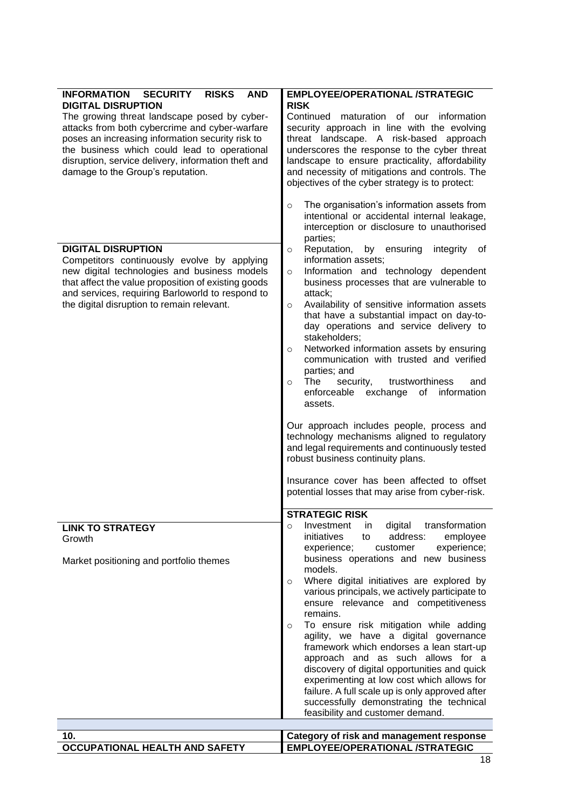| <b>INFORMATION</b><br><b>SECURITY</b><br><b>RISKS</b><br><b>AND</b><br><b>DIGITAL DISRUPTION</b><br>The growing threat landscape posed by cyber-<br>attacks from both cybercrime and cyber-warfare<br>poses an increasing information security risk to<br>the business which could lead to operational<br>disruption, service delivery, information theft and<br>damage to the Group's reputation. | <b>EMPLOYEE/OPERATIONAL /STRATEGIC</b><br><b>RISK</b><br>Continued maturation of our information<br>security approach in line with the evolving<br>threat landscape. A risk-based approach<br>underscores the response to the cyber threat<br>landscape to ensure practicality, affordability<br>and necessity of mitigations and controls. The<br>objectives of the cyber strategy is to protect:<br>The organisation's information assets from<br>$\circ$<br>intentional or accidental internal leakage,<br>interception or disclosure to unauthorised<br>parties;                                                                                                                                                                                                                                                                                                                          |
|----------------------------------------------------------------------------------------------------------------------------------------------------------------------------------------------------------------------------------------------------------------------------------------------------------------------------------------------------------------------------------------------------|-----------------------------------------------------------------------------------------------------------------------------------------------------------------------------------------------------------------------------------------------------------------------------------------------------------------------------------------------------------------------------------------------------------------------------------------------------------------------------------------------------------------------------------------------------------------------------------------------------------------------------------------------------------------------------------------------------------------------------------------------------------------------------------------------------------------------------------------------------------------------------------------------|
| <b>DIGITAL DISRUPTION</b><br>Competitors continuously evolve by applying<br>new digital technologies and business models<br>that affect the value proposition of existing goods<br>and services, requiring Barloworld to respond to<br>the digital disruption to remain relevant.                                                                                                                  | Reputation,<br>by<br>ensuring<br>integrity<br>οf<br>$\circ$<br>information assets;<br>Information and technology dependent<br>$\circ$<br>business processes that are vulnerable to<br>attack;<br>Availability of sensitive information assets<br>$\circ$<br>that have a substantial impact on day-to-<br>day operations and service delivery to<br>stakeholders;<br>Networked information assets by ensuring<br>$\circ$<br>communication with trusted and verified<br>parties; and<br>trustworthiness<br>The<br>security,<br>and<br>$\Omega$<br>enforceable<br>exchange<br>information<br>of<br>assets.<br>Our approach includes people, process and<br>technology mechanisms aligned to regulatory<br>and legal requirements and continuously tested<br>robust business continuity plans.<br>Insurance cover has been affected to offset<br>potential losses that may arise from cyber-risk. |
| <b>LINK TO STRATEGY</b><br>Growth                                                                                                                                                                                                                                                                                                                                                                  | <b>STRATEGIC RISK</b><br>transformation<br>Investment<br>digital<br>in<br>O<br>initiatives<br>address:<br>employee<br>to<br>experience;<br>experience;<br>customer                                                                                                                                                                                                                                                                                                                                                                                                                                                                                                                                                                                                                                                                                                                            |
| Market positioning and portfolio themes                                                                                                                                                                                                                                                                                                                                                            | business operations and new business<br>models.<br>Where digital initiatives are explored by<br>$\circ$<br>various principals, we actively participate to<br>ensure relevance and competitiveness<br>remains.<br>To ensure risk mitigation while adding<br>$\circ$<br>agility, we have a digital governance<br>framework which endorses a lean start-up<br>approach and as such allows for a<br>discovery of digital opportunities and quick<br>experimenting at low cost which allows for<br>failure. A full scale up is only approved after<br>successfully demonstrating the technical<br>feasibility and customer demand.                                                                                                                                                                                                                                                                 |
| 10.                                                                                                                                                                                                                                                                                                                                                                                                | Category of risk and management response                                                                                                                                                                                                                                                                                                                                                                                                                                                                                                                                                                                                                                                                                                                                                                                                                                                      |
| <b>OCCUPATIONAL HEALTH AND SAFETY</b>                                                                                                                                                                                                                                                                                                                                                              | <b>EMPLOYEE/OPERATIONAL /STRATEGIC</b>                                                                                                                                                                                                                                                                                                                                                                                                                                                                                                                                                                                                                                                                                                                                                                                                                                                        |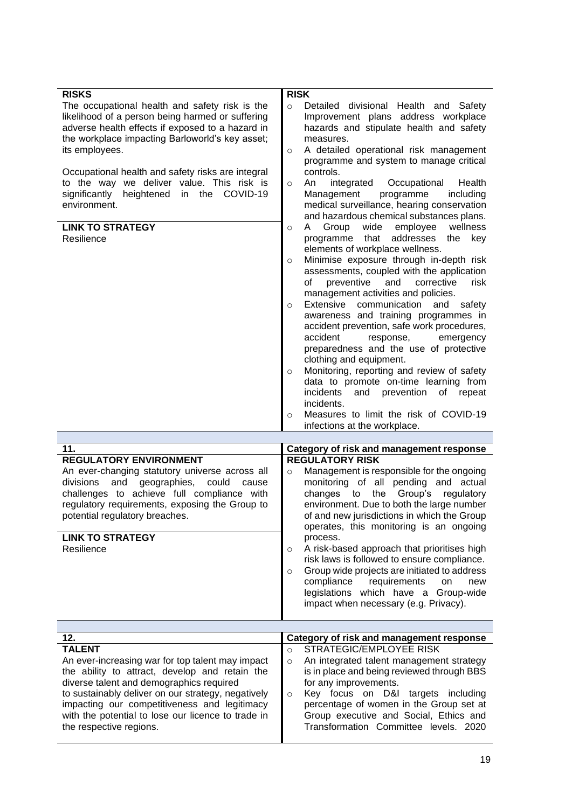| <b>RISKS</b><br>The occupational health and safety risk is the<br>likelihood of a person being harmed or suffering<br>adverse health effects if exposed to a hazard in<br>the workplace impacting Barloworld's key asset;<br>its employees.<br>Occupational health and safety risks are integral<br>to the way we deliver value. This risk is<br>significantly<br>heightened<br>in the<br>COVID-19<br>environment.<br><b>LINK TO STRATEGY</b><br>Resilience | <b>RISK</b><br>Detailed divisional Health and Safety<br>$\circ$<br>Improvement plans address workplace<br>hazards and stipulate health and safety<br>measures.<br>A detailed operational risk management<br>$\circ$<br>programme and system to manage critical<br>controls.<br>integrated<br>Occupational<br>Health<br>An<br>$\circ$<br>Management<br>programme<br>including<br>medical surveillance, hearing conservation<br>and hazardous chemical substances plans.<br>Group<br>wide<br>employee<br>wellness<br>A<br>$\circ$<br>addresses<br>programme<br>that<br>the<br>key<br>elements of workplace wellness.<br>Minimise exposure through in-depth risk<br>$\circ$<br>assessments, coupled with the application<br>of<br>preventive<br>risk<br>and<br>corrective<br>management activities and policies.<br>communication<br>Extensive<br>and<br>safety<br>$\circ$<br>awareness and training programmes in<br>accident prevention, safe work procedures,<br>accident<br>response,<br>emergency<br>preparedness and the use of protective<br>clothing and equipment.<br>Monitoring, reporting and review of safety<br>$\circ$<br>data to promote on-time learning from<br>incidents<br>and prevention of<br>repeat<br>incidents.<br>Measures to limit the risk of COVID-19<br>$\circ$<br>infections at the workplace. |
|-------------------------------------------------------------------------------------------------------------------------------------------------------------------------------------------------------------------------------------------------------------------------------------------------------------------------------------------------------------------------------------------------------------------------------------------------------------|---------------------------------------------------------------------------------------------------------------------------------------------------------------------------------------------------------------------------------------------------------------------------------------------------------------------------------------------------------------------------------------------------------------------------------------------------------------------------------------------------------------------------------------------------------------------------------------------------------------------------------------------------------------------------------------------------------------------------------------------------------------------------------------------------------------------------------------------------------------------------------------------------------------------------------------------------------------------------------------------------------------------------------------------------------------------------------------------------------------------------------------------------------------------------------------------------------------------------------------------------------------------------------------------------------------------------|
|                                                                                                                                                                                                                                                                                                                                                                                                                                                             |                                                                                                                                                                                                                                                                                                                                                                                                                                                                                                                                                                                                                                                                                                                                                                                                                                                                                                                                                                                                                                                                                                                                                                                                                                                                                                                           |
| 11.                                                                                                                                                                                                                                                                                                                                                                                                                                                         | Category of risk and management response                                                                                                                                                                                                                                                                                                                                                                                                                                                                                                                                                                                                                                                                                                                                                                                                                                                                                                                                                                                                                                                                                                                                                                                                                                                                                  |
| <b>REGULATORY ENVIRONMENT</b><br>An ever-changing statutory universe across all<br>and<br>geographies,<br>could<br>divisions<br>cause<br>challenges to achieve full compliance with<br>regulatory requirements, exposing the Group to<br>potential regulatory breaches.<br><b>LINK TO STRATEGY</b><br>Resilience                                                                                                                                            | <b>REGULATORY RISK</b><br>Management is responsible for the ongoing<br>$\circ$<br>monitoring of all pending and actual<br>Group's<br>changes<br>the<br>regulatory<br>to<br>environment. Due to both the large number<br>of and new jurisdictions in which the Group<br>operates, this monitoring is an ongoing<br>process.<br>A risk-based approach that prioritises high<br>$\circ$<br>risk laws is followed to ensure compliance.<br>Group wide projects are initiated to address<br>$\circ$<br>compliance<br>requirements<br>on<br>new<br>legislations which have a Group-wide<br>impact when necessary (e.g. Privacy).                                                                                                                                                                                                                                                                                                                                                                                                                                                                                                                                                                                                                                                                                                |
| 12.                                                                                                                                                                                                                                                                                                                                                                                                                                                         | Category of risk and management response                                                                                                                                                                                                                                                                                                                                                                                                                                                                                                                                                                                                                                                                                                                                                                                                                                                                                                                                                                                                                                                                                                                                                                                                                                                                                  |
| <b>TALENT</b><br>An ever-increasing war for top talent may impact<br>the ability to attract, develop and retain the<br>diverse talent and demographics required<br>to sustainably deliver on our strategy, negatively<br>impacting our competitiveness and legitimacy<br>with the potential to lose our licence to trade in<br>the respective regions.                                                                                                      | STRATEGIC/EMPLOYEE RISK<br>$\circ$<br>An integrated talent management strategy<br>$\circ$<br>is in place and being reviewed through BBS<br>for any improvements.<br>Key focus on D&I targets including<br>$\circ$<br>percentage of women in the Group set at<br>Group executive and Social, Ethics and<br>Transformation Committee levels. 2020                                                                                                                                                                                                                                                                                                                                                                                                                                                                                                                                                                                                                                                                                                                                                                                                                                                                                                                                                                           |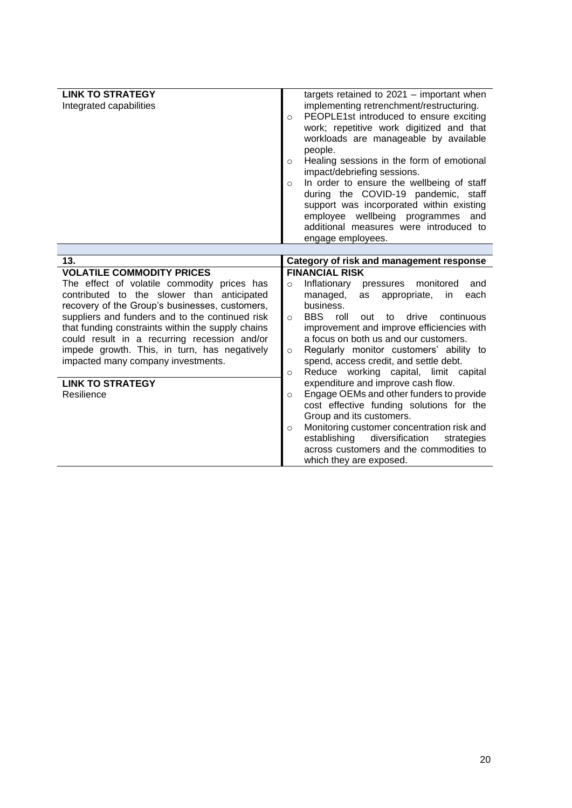| <b>LINK TO STRATEGY</b><br>Integrated capabilities                                                                                                                                                                                                                                                                                                                                                                                                                     | targets retained to $2021 -$ important when<br>implementing retrenchment/restructuring.<br>PEOPLE1st introduced to ensure exciting<br>$\circ$<br>work; repetitive work digitized and that<br>workloads are manageable by available<br>people.<br>Healing sessions in the form of emotional<br>$\circ$<br>impact/debriefing sessions.<br>In order to ensure the wellbeing of staff<br>$\circ$<br>during the COVID-19 pandemic, staff<br>support was incorporated within existing<br>employee wellbeing programmes<br>and<br>additional measures were introduced to<br>engage employees.                                                                                                                                                                                                                             |
|------------------------------------------------------------------------------------------------------------------------------------------------------------------------------------------------------------------------------------------------------------------------------------------------------------------------------------------------------------------------------------------------------------------------------------------------------------------------|--------------------------------------------------------------------------------------------------------------------------------------------------------------------------------------------------------------------------------------------------------------------------------------------------------------------------------------------------------------------------------------------------------------------------------------------------------------------------------------------------------------------------------------------------------------------------------------------------------------------------------------------------------------------------------------------------------------------------------------------------------------------------------------------------------------------|
|                                                                                                                                                                                                                                                                                                                                                                                                                                                                        |                                                                                                                                                                                                                                                                                                                                                                                                                                                                                                                                                                                                                                                                                                                                                                                                                    |
| 13.                                                                                                                                                                                                                                                                                                                                                                                                                                                                    | Category of risk and management response                                                                                                                                                                                                                                                                                                                                                                                                                                                                                                                                                                                                                                                                                                                                                                           |
| <b>VOLATILE COMMODITY PRICES</b><br>The effect of volatile commodity prices has<br>contributed to the slower than anticipated<br>recovery of the Group's businesses, customers,<br>suppliers and funders and to the continued risk<br>that funding constraints within the supply chains<br>could result in a recurring recession and/or<br>impede growth. This, in turn, has negatively<br>impacted many company investments.<br><b>LINK TO STRATEGY</b><br>Resilience | <b>FINANCIAL RISK</b><br>Inflationary<br>monitored<br>and<br>pressures<br>$\circ$<br>each<br>managed,<br>appropriate,<br>as<br>in<br>business.<br><b>BBS</b><br>roll<br>drive<br>continuous<br>out<br>to<br>$\circ$<br>improvement and improve efficiencies with<br>a focus on both us and our customers.<br>Regularly monitor customers' ability to<br>$\circ$<br>spend, access credit, and settle debt.<br>Reduce working capital, limit capital<br>$\circ$<br>expenditure and improve cash flow.<br>Engage OEMs and other funders to provide<br>$\circ$<br>cost effective funding solutions for the<br>Group and its customers.<br>Monitoring customer concentration risk and<br>$\circ$<br>establishing<br>diversification<br>strategies<br>across customers and the commodities to<br>which they are exposed. |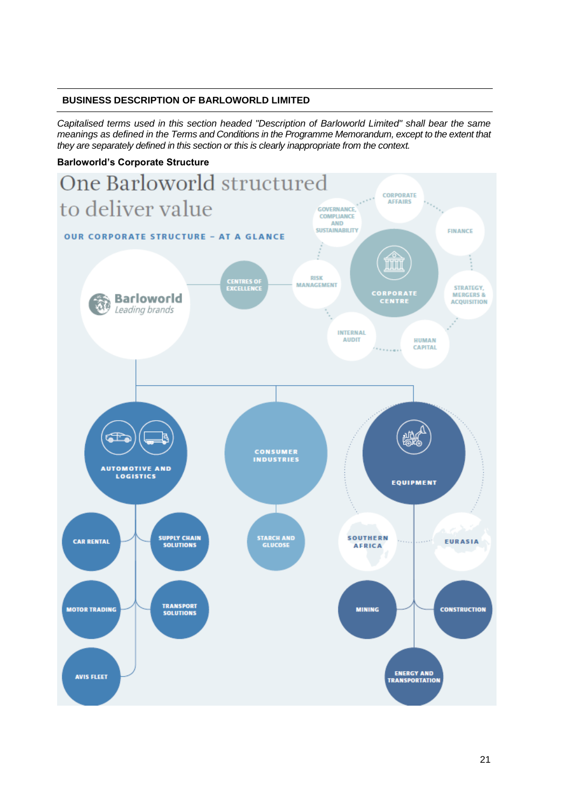## **BUSINESS DESCRIPTION OF BARLOWORLD LIMITED**

*Capitalised terms used in this section headed "Description of Barloworld Limited" shall bear the same meanings as defined in the Terms and Conditions in the Programme Memorandum, except to the extent that they are separately defined in this section or this is clearly inappropriate from the context.* 

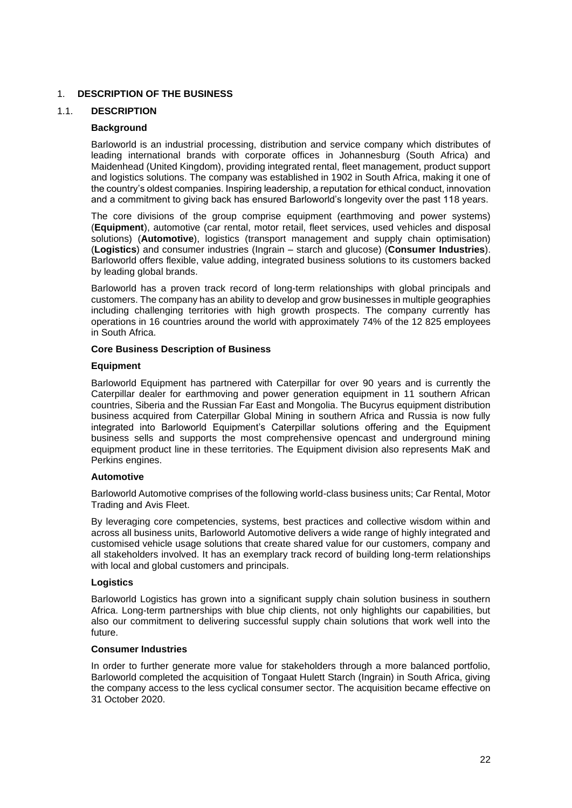## 1. **DESCRIPTION OF THE BUSINESS**

## 1.1. **DESCRIPTION**

## **Background**

Barloworld is an industrial processing, distribution and service company which distributes of leading international brands with corporate offices in Johannesburg (South Africa) and Maidenhead (United Kingdom), providing integrated rental, fleet management, product support and logistics solutions. The company was established in 1902 in South Africa, making it one of the country's oldest companies. Inspiring leadership, a reputation for ethical conduct, innovation and a commitment to giving back has ensured Barloworld's longevity over the past 118 years.

The core divisions of the group comprise equipment (earthmoving and power systems) (**Equipment**), automotive (car rental, motor retail, fleet services, used vehicles and disposal solutions) (**Automotive**), logistics (transport management and supply chain optimisation) (**Logistics**) and consumer industries (Ingrain – starch and glucose) (**Consumer Industries**). Barloworld offers flexible, value adding, integrated business solutions to its customers backed by leading global brands.

Barloworld has a proven track record of long-term relationships with global principals and customers. The company has an ability to develop and grow businesses in multiple geographies including challenging territories with high growth prospects. The company currently has operations in 16 countries around the world with approximately 74% of the 12 825 employees in South Africa.

### **Core Business Description of Business**

### **Equipment**

Barloworld Equipment has partnered with Caterpillar for over 90 years and is currently the Caterpillar dealer for earthmoving and power generation equipment in 11 southern African countries, Siberia and the Russian Far East and Mongolia. The Bucyrus equipment distribution business acquired from Caterpillar Global Mining in southern Africa and Russia is now fully integrated into Barloworld Equipment's Caterpillar solutions offering and the Equipment business sells and supports the most comprehensive opencast and underground mining equipment product line in these territories. The Equipment division also represents MaK and Perkins engines.

## **Automotive**

Barloworld Automotive comprises of the following world-class business units; Car Rental, Motor Trading and Avis Fleet.

By leveraging core competencies, systems, best practices and collective wisdom within and across all business units, Barloworld Automotive delivers a wide range of highly integrated and customised vehicle usage solutions that create shared value for our customers, company and all stakeholders involved. It has an exemplary track record of building long-term relationships with local and global customers and principals.

### **Logistics**

Barloworld Logistics has grown into a significant supply chain solution business in southern Africa. Long-term partnerships with blue chip clients, not only highlights our capabilities, but also our commitment to delivering successful supply chain solutions that work well into the future.

### **Consumer Industries**

In order to further generate more value for stakeholders through a more balanced portfolio, Barloworld completed the acquisition of Tongaat Hulett Starch (Ingrain) in South Africa, giving the company access to the less cyclical consumer sector. The acquisition became effective on 31 October 2020.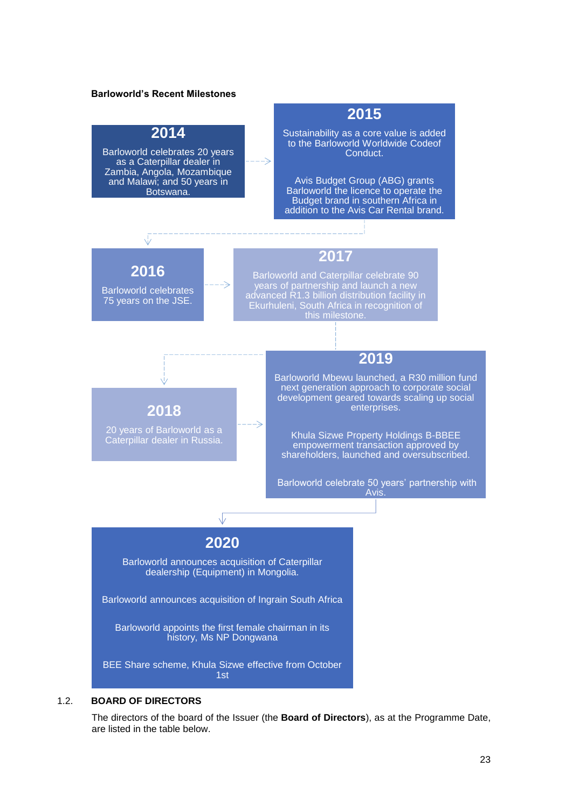# **Barloworld's Recent Milestones 2014** Barloworld celebrates 20 years as a Caterpillar dealer in Zambia, Angola, Mozambique and Malawi; and 50 years in Botswana. **2015** Sustainability as a core value is added to the Barloworld Worldwide Codeof Conduct. Avis Budget Group (ABG) grants Barloworld the licence to operate the Budget brand in southern Africa in addition to the Avis Car Rental brand. **2016** Barloworld celebrates 75 years on the JSE. **2017** Barloworld and Caterpillar celebrate 90 years of partnership and launch a new advanced R1.3 billion distribution facility in Ekurhuleni, South Africa in recognition of this milestone. **2018** 20 years of Barloworld as a Caterpillar dealer in Russia. **2019** Barloworld Mbewu launched, a R30 million fund next generation approach to corporate social development geared towards scaling up social enterprises. Khula Sizwe Property Holdings B-BBEE empowerment transaction approved by shareholders, launched and oversubscribed. Barloworld celebrate 50 years' partnership with Avis. **2020** Barloworld announces acquisition of Caterpillar dealership (Equipment) in Mongolia. Barloworld announces acquisition of Ingrain South Africa Barloworld appoints the first female chairman in its history, Ms NP Dongwana BEE Share scheme, Khula Sizwe effective from October 1st

## 1.2. **BOARD OF DIRECTORS**

The directors of the board of the Issuer (the **Board of Directors**), as at the Programme Date, are listed in the table below.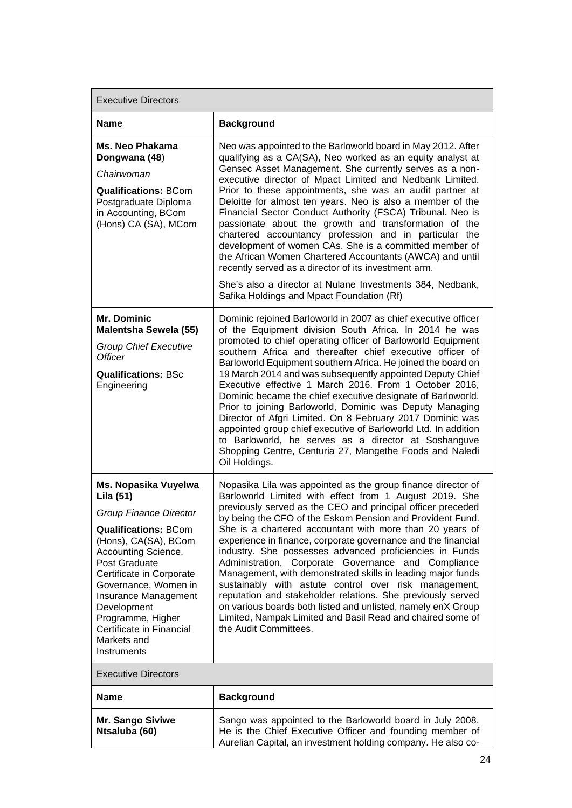| <b>Executive Directors</b>                                                                                                                                                                                                                                                                                                                  |                                                                                                                                                                                                                                                                                                                                                                                                                                                                                                                                                                                                                                                                                                                                                                                                                                                      |  |  |
|---------------------------------------------------------------------------------------------------------------------------------------------------------------------------------------------------------------------------------------------------------------------------------------------------------------------------------------------|------------------------------------------------------------------------------------------------------------------------------------------------------------------------------------------------------------------------------------------------------------------------------------------------------------------------------------------------------------------------------------------------------------------------------------------------------------------------------------------------------------------------------------------------------------------------------------------------------------------------------------------------------------------------------------------------------------------------------------------------------------------------------------------------------------------------------------------------------|--|--|
| <b>Name</b>                                                                                                                                                                                                                                                                                                                                 | <b>Background</b>                                                                                                                                                                                                                                                                                                                                                                                                                                                                                                                                                                                                                                                                                                                                                                                                                                    |  |  |
| <b>Ms. Neo Phakama</b><br>Dongwana (48)<br>Chairwoman<br><b>Qualifications: BCom</b><br>Postgraduate Diploma<br>in Accounting, BCom<br>(Hons) CA (SA), MCom                                                                                                                                                                                 | Neo was appointed to the Barloworld board in May 2012. After<br>qualifying as a CA(SA), Neo worked as an equity analyst at<br>Gensec Asset Management. She currently serves as a non-<br>executive director of Mpact Limited and Nedbank Limited.<br>Prior to these appointments, she was an audit partner at<br>Deloitte for almost ten years. Neo is also a member of the<br>Financial Sector Conduct Authority (FSCA) Tribunal. Neo is<br>passionate about the growth and transformation of the<br>chartered accountancy profession and in particular the<br>development of women CAs. She is a committed member of<br>the African Women Chartered Accountants (AWCA) and until<br>recently served as a director of its investment arm.<br>She's also a director at Nulane Investments 384, Nedbank,<br>Safika Holdings and Mpact Foundation (Rf) |  |  |
| Mr. Dominic<br><b>Malentsha Sewela (55)</b><br><b>Group Chief Executive</b><br><b>Officer</b><br><b>Qualifications: BSc</b><br>Engineering                                                                                                                                                                                                  | Dominic rejoined Barloworld in 2007 as chief executive officer<br>of the Equipment division South Africa. In 2014 he was<br>promoted to chief operating officer of Barloworld Equipment<br>southern Africa and thereafter chief executive officer of<br>Barloworld Equipment southern Africa. He joined the board on<br>19 March 2014 and was subsequently appointed Deputy Chief<br>Executive effective 1 March 2016. From 1 October 2016,<br>Dominic became the chief executive designate of Barloworld.<br>Prior to joining Barloworld, Dominic was Deputy Managing<br>Director of Afgri Limited. On 8 February 2017 Dominic was<br>appointed group chief executive of Barloworld Ltd. In addition<br>to Barloworld, he serves as a director at Soshanguve<br>Shopping Centre, Centuria 27, Mangethe Foods and Naledi<br>Oil Holdings.            |  |  |
| Ms. Nopasika Vuyelwa<br>Lila (51)<br><b>Group Finance Director</b><br><b>Qualifications: BCom</b><br>(Hons), CA(SA), BCom<br>Accounting Science,<br>Post Graduate<br>Certificate in Corporate<br>Governance, Women in<br>Insurance Management<br>Development<br>Programme, Higher<br>Certificate in Financial<br>Markets and<br>Instruments | Nopasika Lila was appointed as the group finance director of<br>Barloworld Limited with effect from 1 August 2019. She<br>previously served as the CEO and principal officer preceded<br>by being the CFO of the Eskom Pension and Provident Fund.<br>She is a chartered accountant with more than 20 years of<br>experience in finance, corporate governance and the financial<br>industry. She possesses advanced proficiencies in Funds<br>Administration, Corporate Governance and Compliance<br>Management, with demonstrated skills in leading major funds<br>sustainably with astute control over risk management,<br>reputation and stakeholder relations. She previously served<br>on various boards both listed and unlisted, namely enX Group<br>Limited, Nampak Limited and Basil Read and chaired some of<br>the Audit Committees.      |  |  |
| <b>Executive Directors</b>                                                                                                                                                                                                                                                                                                                  |                                                                                                                                                                                                                                                                                                                                                                                                                                                                                                                                                                                                                                                                                                                                                                                                                                                      |  |  |
| <b>Name</b>                                                                                                                                                                                                                                                                                                                                 | <b>Background</b>                                                                                                                                                                                                                                                                                                                                                                                                                                                                                                                                                                                                                                                                                                                                                                                                                                    |  |  |
| <b>Mr. Sango Siviwe</b><br>Ntsaluba (60)                                                                                                                                                                                                                                                                                                    | Sango was appointed to the Barloworld board in July 2008.<br>He is the Chief Executive Officer and founding member of<br>Aurelian Capital, an investment holding company. He also co-                                                                                                                                                                                                                                                                                                                                                                                                                                                                                                                                                                                                                                                                |  |  |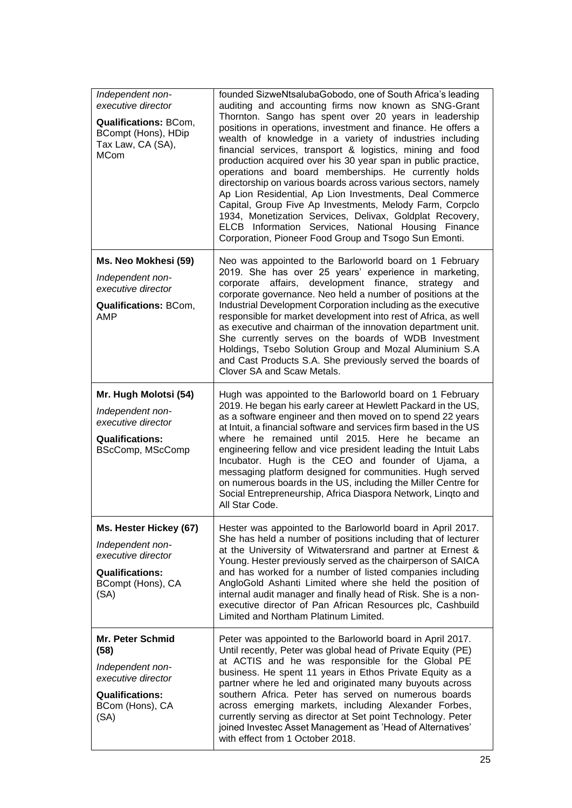| Independent non-<br>executive director<br><b>Qualifications: BCom,</b><br>BCompt (Hons), HDip<br>Tax Law, CA (SA),<br><b>MCom</b> | founded SizweNtsalubaGobodo, one of South Africa's leading<br>auditing and accounting firms now known as SNG-Grant<br>Thornton. Sango has spent over 20 years in leadership<br>positions in operations, investment and finance. He offers a<br>wealth of knowledge in a variety of industries including<br>financial services, transport & logistics, mining and food<br>production acquired over his 30 year span in public practice,<br>operations and board memberships. He currently holds<br>directorship on various boards across various sectors, namely<br>Ap Lion Residential, Ap Lion Investments, Deal Commerce<br>Capital, Group Five Ap Investments, Melody Farm, Corpclo<br>1934, Monetization Services, Delivax, Goldplat Recovery,<br>ELCB Information Services, National Housing Finance<br>Corporation, Pioneer Food Group and Tsogo Sun Emonti. |
|-----------------------------------------------------------------------------------------------------------------------------------|--------------------------------------------------------------------------------------------------------------------------------------------------------------------------------------------------------------------------------------------------------------------------------------------------------------------------------------------------------------------------------------------------------------------------------------------------------------------------------------------------------------------------------------------------------------------------------------------------------------------------------------------------------------------------------------------------------------------------------------------------------------------------------------------------------------------------------------------------------------------|
| Ms. Neo Mokhesi (59)<br>Independent non-<br>executive director<br><b>Qualifications: BCom,</b><br><b>AMP</b>                      | Neo was appointed to the Barloworld board on 1 February<br>2019. She has over 25 years' experience in marketing,<br>affairs, development finance,<br>strategy<br>corporate<br>and<br>corporate governance. Neo held a number of positions at the<br>Industrial Development Corporation including as the executive<br>responsible for market development into rest of Africa, as well<br>as executive and chairman of the innovation department unit.<br>She currently serves on the boards of WDB Investment<br>Holdings, Tsebo Solution Group and Mozal Aluminium S.A<br>and Cast Products S.A. She previously served the boards of<br>Clover SA and Scaw Metals.                                                                                                                                                                                                 |
| Mr. Hugh Molotsi (54)<br>Independent non-<br>executive director<br><b>Qualifications:</b><br>BScComp, MScComp                     | Hugh was appointed to the Barloworld board on 1 February<br>2019. He began his early career at Hewlett Packard in the US,<br>as a software engineer and then moved on to spend 22 years<br>at Intuit, a financial software and services firm based in the US<br>where he remained until 2015. Here he became an<br>engineering fellow and vice president leading the Intuit Labs<br>Incubator. Hugh is the CEO and founder of Ujama, a<br>messaging platform designed for communities. Hugh served<br>on numerous boards in the US, including the Miller Centre for<br>Social Entrepreneurship, Africa Diaspora Network, Lingto and<br>All Star Code.                                                                                                                                                                                                              |
| Ms. Hester Hickey (67)<br>Independent non-<br>executive director<br><b>Qualifications:</b><br>BCompt (Hons), CA<br>(SA)           | Hester was appointed to the Barloworld board in April 2017.<br>She has held a number of positions including that of lecturer<br>at the University of Witwatersrand and partner at Ernest &<br>Young. Hester previously served as the chairperson of SAICA<br>and has worked for a number of listed companies including<br>AngloGold Ashanti Limited where she held the position of<br>internal audit manager and finally head of Risk. She is a non-<br>executive director of Pan African Resources plc, Cashbuild<br>Limited and Northam Platinum Limited.                                                                                                                                                                                                                                                                                                        |
| <b>Mr. Peter Schmid</b><br>(58)<br>Independent non-<br>executive director<br><b>Qualifications:</b><br>BCom (Hons), CA<br>(SA)    | Peter was appointed to the Barloworld board in April 2017.<br>Until recently, Peter was global head of Private Equity (PE)<br>at ACTIS and he was responsible for the Global PE<br>business. He spent 11 years in Ethos Private Equity as a<br>partner where he led and originated many buyouts across<br>southern Africa. Peter has served on numerous boards<br>across emerging markets, including Alexander Forbes,<br>currently serving as director at Set point Technology. Peter<br>joined Investec Asset Management as 'Head of Alternatives'<br>with effect from 1 October 2018.                                                                                                                                                                                                                                                                           |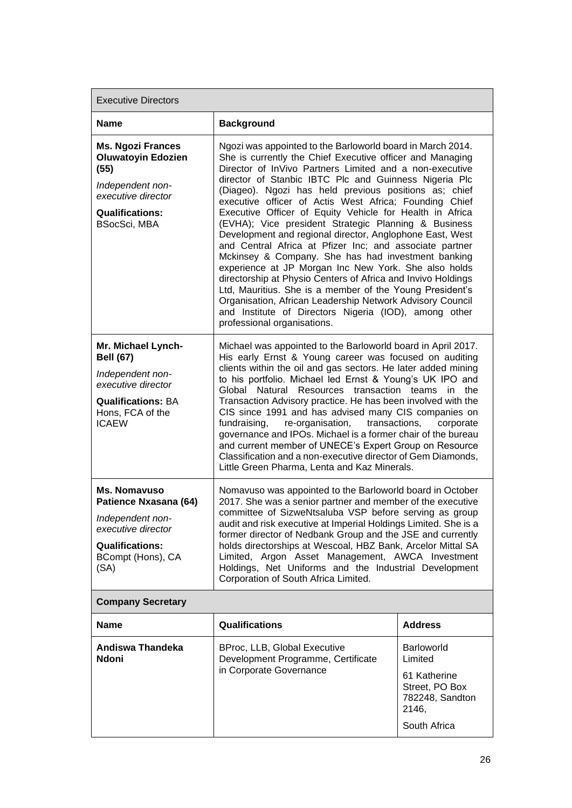Executive Directors **Name Background Ms. Ngozi Frances Oluwatoyin Edozien (55)** *Independent nonexecutive director* **Qualifications:** BSocSci, MBA Ngozi was appointed to the Barloworld board in March 2014. She is currently the Chief Executive officer and Managing Director of InVivo Partners Limited and a non-executive director of Stanbic IBTC Plc and Guinness Nigeria Plc (Diageo). Ngozi has held previous positions as; chief executive officer of Actis West Africa; Founding Chief Executive Officer of Equity Vehicle for Health in Africa (EVHA); Vice president Strategic Planning & Business Development and regional director, Anglophone East, West and Central Africa at Pfizer Inc; and associate partner Mckinsey & Company. She has had investment banking experience at JP Morgan Inc New York. She also holds directorship at Physio Centers of Africa and Invivo Holdings Ltd, Mauritius. She is a member of the Young President's Organisation, African Leadership Network Advisory Council and Institute of Directors Nigeria (IOD), among other professional organisations. **Mr. Michael Lynch-Bell (67)** *Independent nonexecutive director* **Qualifications:** BA Hons, FCA of the ICAEW Michael was appointed to the Barloworld board in April 2017. His early Ernst & Young career was focused on auditing clients within the oil and gas sectors. He later added mining to his portfolio. Michael led Ernst & Young's UK IPO and Global Natural Resources transaction teams in the Transaction Advisory practice. He has been involved with the CIS since 1991 and has advised many CIS companies on fundraising, re-organisation, transactions, corporate governance and IPOs. Michael is a former chair of the bureau and current member of UNECE's Expert Group on Resource Classification and a non-executive director of Gem Diamonds, Little Green Pharma, Lenta and Kaz Minerals. **Ms. Nomavuso Patience Nxasana (64)**  *Independent nonexecutive director* **Qualifications:** BCompt (Hons), CA (SA) Nomavuso was appointed to the Barloworld board in October 2017. She was a senior partner and member of the executive committee of SizweNtsaluba VSP before serving as group audit and risk executive at Imperial Holdings Limited. She is a former director of Nedbank Group and the JSE and currently holds directorships at Wescoal, HBZ Bank, Arcelor Mittal SA Limited, Argon Asset Management, AWCA Investment Holdings, Net Uniforms and the Industrial Development Corporation of South Africa Limited. **Company Secretary Name Qualifications Address Andiswa Thandeka Ndoni** BProc, LLB, Global Executive Development Programme, Certificate in Corporate Governance Barloworld Limited 61 Katherine Street, PO Box 782248, Sandton

2146,

South Africa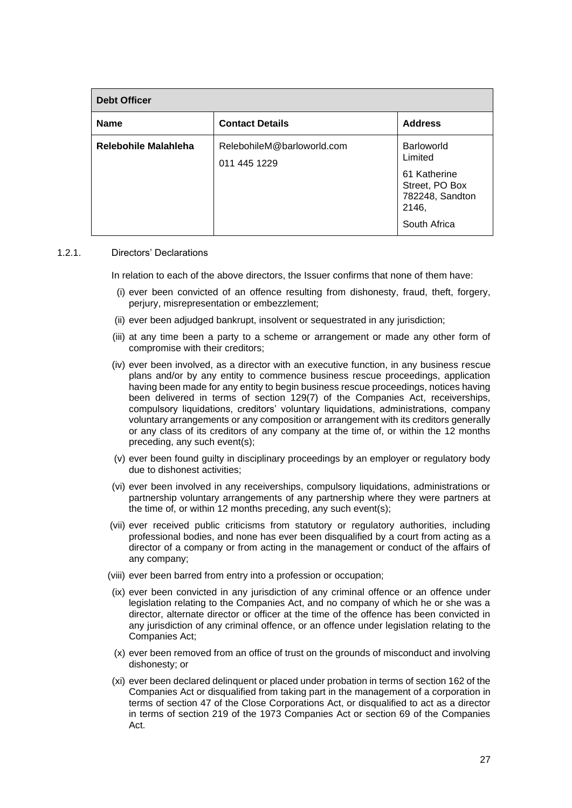| <b>Debt Officer</b>  |                                            |                                                                                                     |  |
|----------------------|--------------------------------------------|-----------------------------------------------------------------------------------------------------|--|
| <b>Name</b>          | <b>Contact Details</b>                     | <b>Address</b>                                                                                      |  |
| Relebohile Malahleha | RelebohileM@barloworld.com<br>011 445 1229 | Barloworld<br>Limited<br>61 Katherine<br>Street, PO Box<br>782248, Sandton<br>2146,<br>South Africa |  |

### 1.2.1. Directors' Declarations

In relation to each of the above directors, the Issuer confirms that none of them have:

- (i) ever been convicted of an offence resulting from dishonesty, fraud, theft, forgery, perjury, misrepresentation or embezzlement;
- (ii) ever been adjudged bankrupt, insolvent or sequestrated in any jurisdiction;
- (iii) at any time been a party to a scheme or arrangement or made any other form of compromise with their creditors;
- (iv) ever been involved, as a director with an executive function, in any business rescue plans and/or by any entity to commence business rescue proceedings, application having been made for any entity to begin business rescue proceedings, notices having been delivered in terms of section 129(7) of the Companies Act, receiverships, compulsory liquidations, creditors' voluntary liquidations, administrations, company voluntary arrangements or any composition or arrangement with its creditors generally or any class of its creditors of any company at the time of, or within the 12 months preceding, any such event(s);
- (v) ever been found guilty in disciplinary proceedings by an employer or regulatory body due to dishonest activities;
- (vi) ever been involved in any receiverships, compulsory liquidations, administrations or partnership voluntary arrangements of any partnership where they were partners at the time of, or within 12 months preceding, any such event(s);
- (vii) ever received public criticisms from statutory or regulatory authorities, including professional bodies, and none has ever been disqualified by a court from acting as a director of a company or from acting in the management or conduct of the affairs of any company;
- (viii) ever been barred from entry into a profession or occupation;
- (ix) ever been convicted in any jurisdiction of any criminal offence or an offence under legislation relating to the Companies Act, and no company of which he or she was a director, alternate director or officer at the time of the offence has been convicted in any jurisdiction of any criminal offence, or an offence under legislation relating to the Companies Act;
- (x) ever been removed from an office of trust on the grounds of misconduct and involving dishonesty; or
- (xi) ever been declared delinquent or placed under probation in terms of section 162 of the Companies Act or disqualified from taking part in the management of a corporation in terms of section 47 of the Close Corporations Act, or disqualified to act as a director in terms of section 219 of the 1973 Companies Act or section 69 of the Companies Act.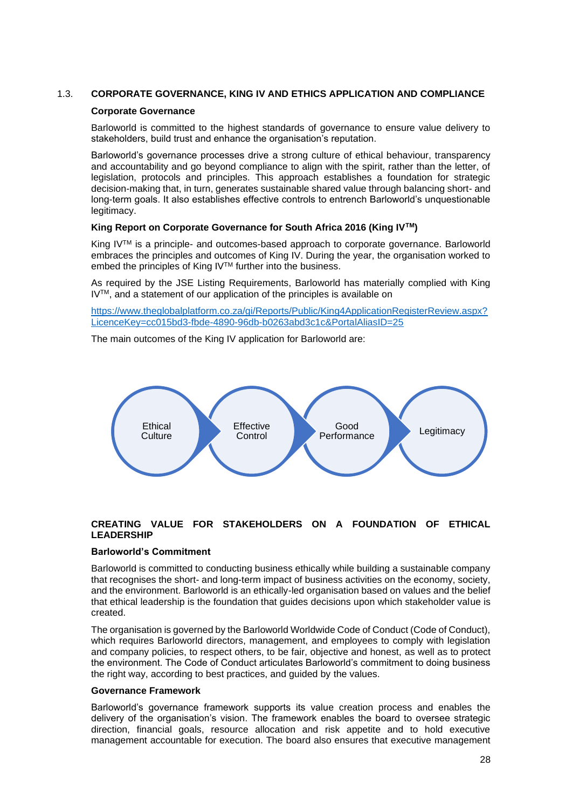## 1.3. **CORPORATE GOVERNANCE, KING IV AND ETHICS APPLICATION AND COMPLIANCE**

### **Corporate Governance**

Barloworld is committed to the highest standards of governance to ensure value delivery to stakeholders, build trust and enhance the organisation's reputation.

Barloworld's governance processes drive a strong culture of ethical behaviour, transparency and accountability and go beyond compliance to align with the spirit, rather than the letter, of legislation, protocols and principles. This approach establishes a foundation for strategic decision-making that, in turn, generates sustainable shared value through balancing short- and long-term goals. It also establishes effective controls to entrench Barloworld's unquestionable legitimacy.

## **King Report on Corporate Governance for South Africa 2016 (King IVTM)**

King IV™ is a principle- and outcomes-based approach to corporate governance. Barloworld embraces the principles and outcomes of King IV. During the year, the organisation worked to embed the principles of King IV™ further into the business.

As required by the JSE Listing Requirements, Barloworld has materially complied with King IVTM, and a statement of our application of the principles is available on

[https://www.theglobalplatform.co.za/gi/Reports/Public/King4ApplicationRegisterReview.aspx?](https://www.theglobalplatform.co.za/gi/Reports/Public/King4ApplicationRegisterReview.aspx?LicenceKey=cc015bd3-fbde-4890-96db-b0263abd3c1c&PortalAliasID=25) [LicenceKey=cc015bd3-fbde-4890-96db-b0263abd3c1c&PortalAliasID=25](https://www.theglobalplatform.co.za/gi/Reports/Public/King4ApplicationRegisterReview.aspx?LicenceKey=cc015bd3-fbde-4890-96db-b0263abd3c1c&PortalAliasID=25)

The main outcomes of the King IV application for Barloworld are:



## **CREATING VALUE FOR STAKEHOLDERS ON A FOUNDATION OF ETHICAL LEADERSHIP**

#### **Barloworld's Commitment**

Barloworld is committed to conducting business ethically while building a sustainable company that recognises the short- and long-term impact of business activities on the economy, society, and the environment. Barloworld is an ethically-led organisation based on values and the belief that ethical leadership is the foundation that guides decisions upon which stakeholder value is created.

The organisation is governed by the Barloworld Worldwide Code of Conduct (Code of Conduct), which requires Barloworld directors, management, and employees to comply with legislation and company policies, to respect others, to be fair, objective and honest, as well as to protect the environment. The Code of Conduct articulates Barloworld's commitment to doing business the right way, according to best practices, and guided by the values.

#### **Governance Framework**

Barloworld's governance framework supports its value creation process and enables the delivery of the organisation's vision. The framework enables the board to oversee strategic direction, financial goals, resource allocation and risk appetite and to hold executive management accountable for execution. The board also ensures that executive management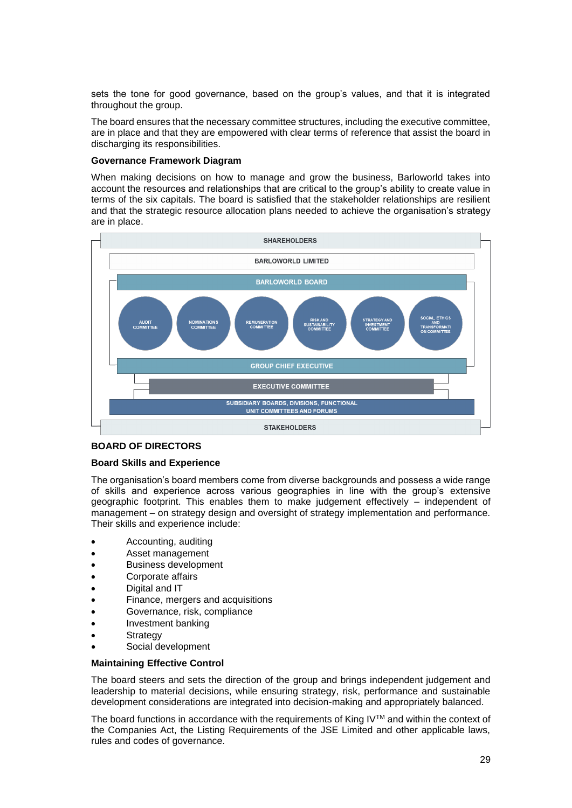sets the tone for good governance, based on the group's values, and that it is integrated throughout the group.

The board ensures that the necessary committee structures, including the executive committee, are in place and that they are empowered with clear terms of reference that assist the board in discharging its responsibilities.

### **Governance Framework Diagram**

When making decisions on how to manage and grow the business, Barloworld takes into account the resources and relationships that are critical to the group's ability to create value in terms of the six capitals. The board is satisfied that the stakeholder relationships are resilient and that the strategic resource allocation plans needed to achieve the organisation's strategy are in place.



## **BOARD OF DIRECTORS**

### **Board Skills and Experience**

The organisation's board members come from diverse backgrounds and possess a wide range of skills and experience across various geographies in line with the group's extensive geographic footprint. This enables them to make judgement effectively – independent of management – on strategy design and oversight of strategy implementation and performance. Their skills and experience include:

- Accounting, auditing
- Asset management
- Business development
- Corporate affairs
- Digital and IT
- Finance, mergers and acquisitions
- Governance, risk, compliance
- Investment banking
- **Strategy**
- Social development

## **Maintaining Effective Control**

The board steers and sets the direction of the group and brings independent judgement and leadership to material decisions, while ensuring strategy, risk, performance and sustainable development considerations are integrated into decision-making and appropriately balanced.

The board functions in accordance with the requirements of King IV<sup>TM</sup> and within the context of the Companies Act, the Listing Requirements of the JSE Limited and other applicable laws, rules and codes of governance.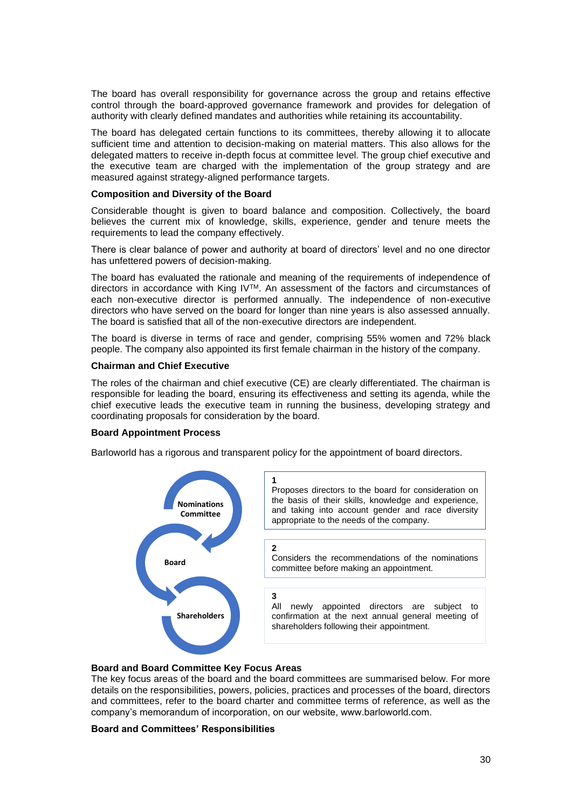The board has overall responsibility for governance across the group and retains effective control through the board-approved governance framework and provides for delegation of authority with clearly defined mandates and authorities while retaining its accountability.

The board has delegated certain functions to its committees, thereby allowing it to allocate sufficient time and attention to decision-making on material matters. This also allows for the delegated matters to receive in-depth focus at committee level. The group chief executive and the executive team are charged with the implementation of the group strategy and are measured against strategy-aligned performance targets.

### **Composition and Diversity of the Board**

Considerable thought is given to board balance and composition. Collectively, the board believes the current mix of knowledge, skills, experience, gender and tenure meets the requirements to lead the company effectively.

There is clear balance of power and authority at board of directors' level and no one director has unfettered powers of decision-making.

The board has evaluated the rationale and meaning of the requirements of independence of directors in accordance with King IVTM. An assessment of the factors and circumstances of each non-executive director is performed annually. The independence of non-executive directors who have served on the board for longer than nine years is also assessed annually. The board is satisfied that all of the non-executive directors are independent.

The board is diverse in terms of race and gender, comprising 55% women and 72% black people. The company also appointed its first female chairman in the history of the company.

### **Chairman and Chief Executive**

The roles of the chairman and chief executive (CE) are clearly differentiated. The chairman is responsible for leading the board, ensuring its effectiveness and setting its agenda, while the chief executive leads the executive team in running the business, developing strategy and coordinating proposals for consideration by the board.

#### **Board Appointment Process**

Barloworld has a rigorous and transparent policy for the appointment of board directors.



### **Board and Board Committee Key Focus Areas**

The key focus areas of the board and the board committees are summarised below. For more details on the responsibilities, powers, policies, practices and processes of the board, directors and committees, refer to the board charter and committee terms of reference, as well as the company's memorandum of incorporation, on our website, www.barloworld.com.

### **Board and Committees' Responsibilities**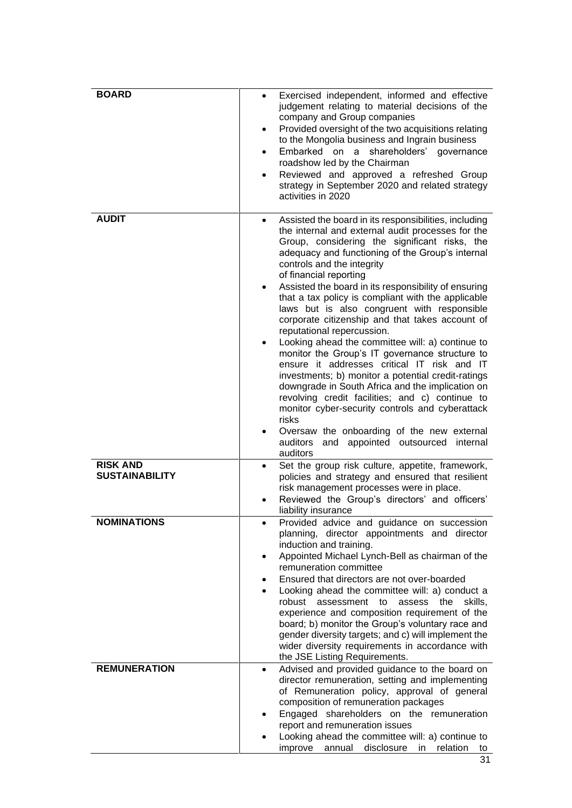| <b>BOARD</b>                             | Exercised independent, informed and effective<br>$\bullet$<br>judgement relating to material decisions of the<br>company and Group companies<br>Provided oversight of the two acquisitions relating<br>$\bullet$<br>to the Mongolia business and Ingrain business<br>Embarked on a shareholders' governance<br>$\bullet$<br>roadshow led by the Chairman<br>Reviewed and approved a refreshed Group<br>$\bullet$<br>strategy in September 2020 and related strategy<br>activities in 2020                                                                                                                                                                                                                                                                                                                                                                                                                                                                                                                               |
|------------------------------------------|-------------------------------------------------------------------------------------------------------------------------------------------------------------------------------------------------------------------------------------------------------------------------------------------------------------------------------------------------------------------------------------------------------------------------------------------------------------------------------------------------------------------------------------------------------------------------------------------------------------------------------------------------------------------------------------------------------------------------------------------------------------------------------------------------------------------------------------------------------------------------------------------------------------------------------------------------------------------------------------------------------------------------|
| <b>AUDIT</b>                             | Assisted the board in its responsibilities, including<br>$\bullet$<br>the internal and external audit processes for the<br>Group, considering the significant risks, the<br>adequacy and functioning of the Group's internal<br>controls and the integrity<br>of financial reporting<br>Assisted the board in its responsibility of ensuring<br>٠<br>that a tax policy is compliant with the applicable<br>laws but is also congruent with responsible<br>corporate citizenship and that takes account of<br>reputational repercussion.<br>Looking ahead the committee will: a) continue to<br>monitor the Group's IT governance structure to<br>ensure it addresses critical IT risk and IT<br>investments; b) monitor a potential credit-ratings<br>downgrade in South Africa and the implication on<br>revolving credit facilities; and c) continue to<br>monitor cyber-security controls and cyberattack<br>risks<br>Oversaw the onboarding of the new external<br>auditors<br>and appointed outsourced<br>internal |
| <b>RISK AND</b><br><b>SUSTAINABILITY</b> | auditors<br>Set the group risk culture, appetite, framework,<br>$\bullet$<br>policies and strategy and ensured that resilient<br>risk management processes were in place.<br>Reviewed the Group's directors' and officers'                                                                                                                                                                                                                                                                                                                                                                                                                                                                                                                                                                                                                                                                                                                                                                                              |
| <b>NOMINATIONS</b>                       | liability insurance<br>Provided advice and guidance on succession<br>planning, director appointments and director<br>induction and training.<br>Appointed Michael Lynch-Bell as chairman of the<br>٠<br>remuneration committee<br>Ensured that directors are not over-boarded<br>Looking ahead the committee will: a) conduct a<br>robust assessment to<br>assess the<br>skills,<br>experience and composition requirement of the<br>board; b) monitor the Group's voluntary race and<br>gender diversity targets; and c) will implement the<br>wider diversity requirements in accordance with<br>the JSE Listing Requirements.                                                                                                                                                                                                                                                                                                                                                                                        |
| <b>REMUNERATION</b>                      | Advised and provided guidance to the board on<br>$\bullet$<br>director remuneration, setting and implementing<br>of Remuneration policy, approval of general<br>composition of remuneration packages<br>Engaged shareholders on the remuneration<br>$\bullet$<br>report and remuneration issues<br>Looking ahead the committee will: a) continue to<br>disclosure<br>improve<br>annual<br>relation<br>in l<br>to                                                                                                                                                                                                                                                                                                                                                                                                                                                                                                                                                                                                        |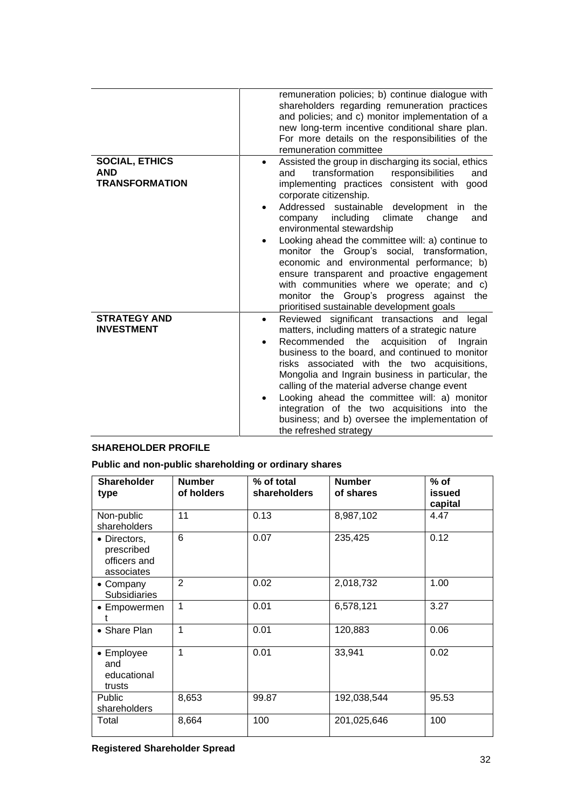|                                                              | remuneration policies; b) continue dialogue with<br>shareholders regarding remuneration practices<br>and policies; and c) monitor implementation of a<br>new long-term incentive conditional share plan.<br>For more details on the responsibilities of the<br>remuneration committee                                                                                                                                                                                                                                                                                                                                                                        |
|--------------------------------------------------------------|--------------------------------------------------------------------------------------------------------------------------------------------------------------------------------------------------------------------------------------------------------------------------------------------------------------------------------------------------------------------------------------------------------------------------------------------------------------------------------------------------------------------------------------------------------------------------------------------------------------------------------------------------------------|
| <b>SOCIAL, ETHICS</b><br><b>AND</b><br><b>TRANSFORMATION</b> | Assisted the group in discharging its social, ethics<br>٠<br>transformation<br>responsibilities<br>and<br>and<br>implementing practices consistent with good<br>corporate citizenship.<br>Addressed sustainable development in<br>the<br>including<br>company<br>climate<br>change<br>and<br>environmental stewardship<br>Looking ahead the committee will: a) continue to<br>monitor the Group's social, transformation,<br>economic and environmental performance; b)<br>ensure transparent and proactive engagement<br>with communities where we operate; and c)<br>monitor the Group's progress against the<br>prioritised sustainable development goals |
| <b>STRATEGY AND</b><br><b>INVESTMENT</b>                     | Reviewed significant transactions and legal<br>$\bullet$<br>matters, including matters of a strategic nature<br>acquisition<br>Recommended the<br>0f<br>Ingrain<br>$\bullet$<br>business to the board, and continued to monitor<br>risks associated with the two acquisitions,<br>Mongolia and Ingrain business in particular, the<br>calling of the material adverse change event<br>Looking ahead the committee will: a) monitor<br>integration of the two acquisitions into the<br>business; and b) oversee the implementation of<br>the refreshed strategy                                                                                               |

# **SHAREHOLDER PROFILE**

**Public and non-public shareholding or ordinary shares**

| <b>Shareholder</b><br>type                               | <b>Number</b><br>of holders | % of total<br>shareholders | <b>Number</b><br>of shares | $%$ of<br>issued<br>capital |
|----------------------------------------------------------|-----------------------------|----------------------------|----------------------------|-----------------------------|
| Non-public<br>shareholders                               | 11                          | 0.13                       | 8,987,102                  | 4.47                        |
| • Directors,<br>prescribed<br>officers and<br>associates | 6                           | 0.07                       | 235,425                    | 0.12                        |
| • Company<br><b>Subsidiaries</b>                         | $\overline{2}$              | 0.02                       | 2,018,732                  | 1.00                        |
| • Empowermen                                             | 1                           | 0.01                       | 6,578,121                  | 3.27                        |
| • Share Plan                                             | 1                           | 0.01                       | 120,883                    | 0.06                        |
| • Employee<br>and<br>educational<br>trusts               | 1                           | 0.01                       | 33,941                     | 0.02                        |
| Public<br>shareholders                                   | 8,653                       | 99.87                      | 192,038,544                | 95.53                       |
| Total                                                    | 8,664                       | 100                        | 201,025,646                | 100                         |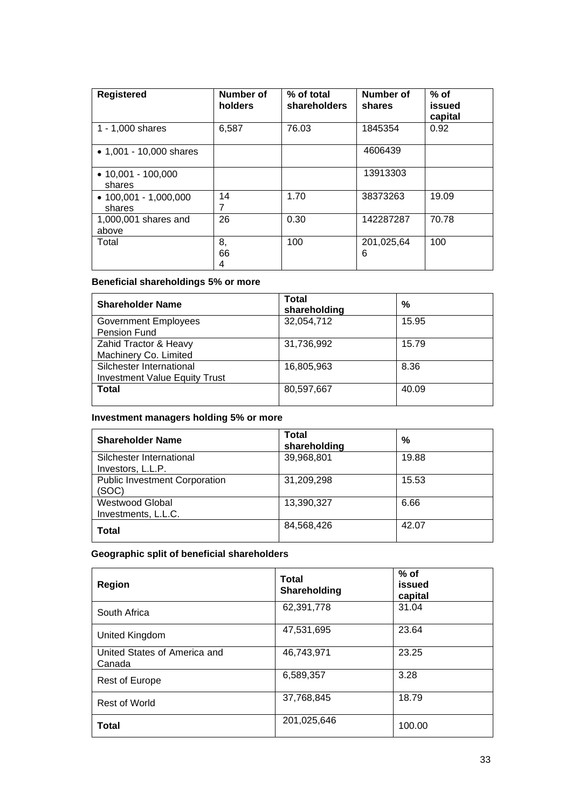| <b>Registered</b>                       | Number of<br>holders | % of total<br>shareholders | Number of<br>shares | $%$ of<br>issued<br>capital |
|-----------------------------------------|----------------------|----------------------------|---------------------|-----------------------------|
| 1 - 1,000 shares                        | 6,587                | 76.03                      | 1845354             | 0.92                        |
| • $1,001 - 10,000$ shares               |                      |                            | 4606439             |                             |
| $\bullet$ 10,001 - 100,000<br>shares    |                      |                            | 13913303            |                             |
| $\bullet$ 100,001 - 1,000,000<br>shares | 14                   | 1.70                       | 38373263            | 19.09                       |
| 1,000,001 shares and<br>above           | 26                   | 0.30                       | 142287287           | 70.78                       |
| Total                                   | 8,<br>66<br>4        | 100                        | 201,025,64<br>6     | 100                         |

# **Beneficial shareholdings 5% or more**

| <b>Shareholder Name</b>                                          | Total<br>shareholding | %     |
|------------------------------------------------------------------|-----------------------|-------|
| <b>Government Employees</b><br>Pension Fund                      | 32,054,712            | 15.95 |
| Zahid Tractor & Heavy<br>Machinery Co. Limited                   | 31,736,992            | 15.79 |
| Silchester International<br><b>Investment Value Equity Trust</b> | 16,805,963            | 8.36  |
| <b>Total</b>                                                     | 80,597,667            | 40.09 |

# **Investment managers holding 5% or more**

| <b>Shareholder Name</b>                       | <b>Total</b><br>shareholding | %     |
|-----------------------------------------------|------------------------------|-------|
| Silchester International<br>Investors, L.L.P. | 39,968,801                   | 19.88 |
| <b>Public Investment Corporation</b><br>(SOC) | 31,209,298                   | 15.53 |
| <b>Westwood Global</b><br>Investments, L.L.C. | 13,390,327                   | 6.66  |
| <b>Total</b>                                  | 84,568,426                   | 42.07 |

# **Geographic split of beneficial shareholders**

| Region                                 | <b>Total</b><br>Shareholding | $%$ of<br>issued<br>capital |
|----------------------------------------|------------------------------|-----------------------------|
| South Africa                           | 62,391,778                   | 31.04                       |
| United Kingdom                         | 47,531,695                   | 23.64                       |
| United States of America and<br>Canada | 46,743,971                   | 23.25                       |
| <b>Rest of Europe</b>                  | 6,589,357                    | 3.28                        |
| Rest of World                          | 37,768,845                   | 18.79                       |
| <b>Total</b>                           | 201,025,646                  | 100.00                      |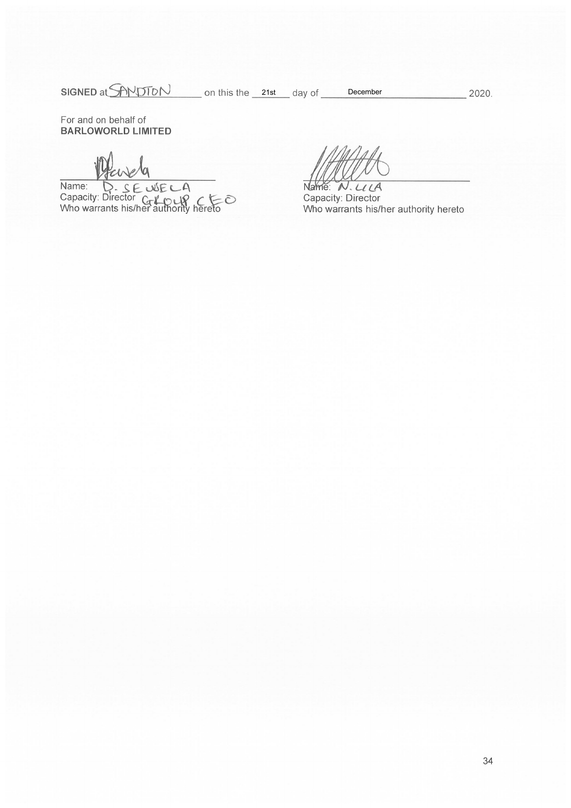SIGNED at SANDTON on this the 21st day of

2020.

For and on behalf of **BARLOWORLD LIMITED** 

Name: D. S. E. WECA<br>Capacity: Director C-LOUP CEO<br>Who warrants his/her authority hereto

December

Name: N. LILA Capacity: Director Who warrants his/her authority hereto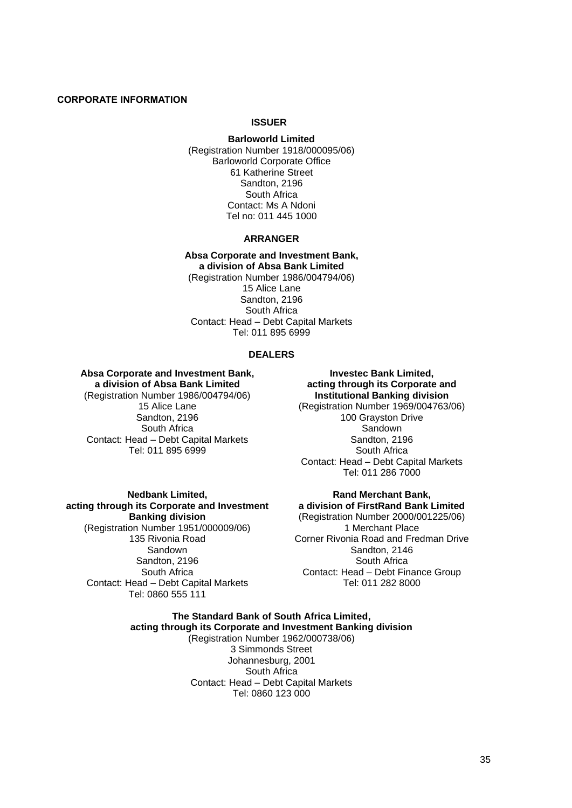## **CORPORATE INFORMATION**

### **ISSUER**

**Barloworld Limited** (Registration Number 1918/000095/06) Barloworld Corporate Office 61 Katherine Street Sandton, 2196 South Africa Contact: Ms A Ndoni Tel no: 011 445 1000

### **ARRANGER**

**Absa Corporate and Investment Bank, a division of Absa Bank Limited** (Registration Number 1986/004794/06) 15 Alice Lane Sandton, 2196 South Africa Contact: Head – Debt Capital Markets Tel: 011 895 6999

### **DEALERS**

#### **Absa Corporate and Investment Bank, a division of Absa Bank Limited**

(Registration Number 1986/004794/06) 15 Alice Lane Sandton, 2196 South Africa Contact: Head – Debt Capital Markets Tel: 011 895 6999

**Nedbank Limited, acting through its Corporate and Investment Banking division** (Registration Number 1951/000009/06) 135 Rivonia Road Sandown Sandton, 2196 South Africa Contact: Head – Debt Capital Markets Tel: 0860 555 111

**Investec Bank Limited, acting through its Corporate and Institutional Banking division** (Registration Number 1969/004763/06) 100 Grayston Drive Sandown Sandton, 2196 South Africa Contact: Head – Debt Capital Markets Tel: 011 286 7000

## **Rand Merchant Bank, a division of FirstRand Bank Limited**

(Registration Number 2000/001225/06) 1 Merchant Place Corner Rivonia Road and Fredman Drive Sandton, 2146 South Africa Contact: Head – Debt Finance Group Tel: 011 282 8000

### **The Standard Bank of South Africa Limited, acting through its Corporate and Investment Banking division** (Registration Number 1962/000738/06) 3 Simmonds Street Johannesburg, 2001 South Africa Contact: Head – Debt Capital Markets Tel: 0860 123 000